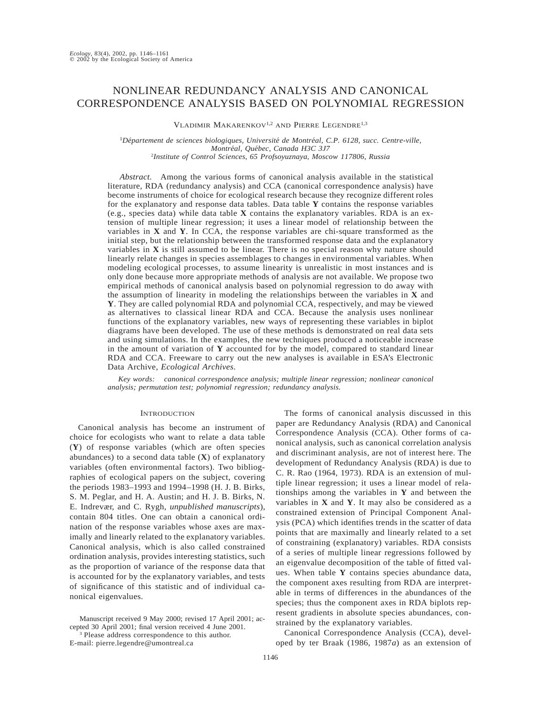## NONLINEAR REDUNDANCY ANALYSIS AND CANONICAL CORRESPONDENCE ANALYSIS BASED ON POLYNOMIAL REGRESSION

VLADIMIR MAKARENKOV1,2 AND PIERRE LEGENDRE1,3

<sup>1</sup>Département de sciences biologiques, Université de Montréal, C.P. 6128, succ. Centre-ville, *Montre´al, Que´bec, Canada H3C 3J7* <sup>2</sup>*Institute of Control Sciences, 65 Profsoyuznaya, Moscow 117806, Russia*

*Abstract.* Among the various forms of canonical analysis available in the statistical literature, RDA (redundancy analysis) and CCA (canonical correspondence analysis) have become instruments of choice for ecological research because they recognize different roles for the explanatory and response data tables. Data table **Y** contains the response variables (e.g., species data) while data table **X** contains the explanatory variables. RDA is an extension of multiple linear regression; it uses a linear model of relationship between the variables in **X** and **Y**. In CCA, the response variables are chi-square transformed as the initial step, but the relationship between the transformed response data and the explanatory variables in **X** is still assumed to be linear. There is no special reason why nature should linearly relate changes in species assemblages to changes in environmental variables. When modeling ecological processes, to assume linearity is unrealistic in most instances and is only done because more appropriate methods of analysis are not available. We propose two empirical methods of canonical analysis based on polynomial regression to do away with the assumption of linearity in modeling the relationships between the variables in **X** and **Y**. They are called polynomial RDA and polynomial CCA, respectively, and may be viewed as alternatives to classical linear RDA and CCA. Because the analysis uses nonlinear functions of the explanatory variables, new ways of representing these variables in biplot diagrams have been developed. The use of these methods is demonstrated on real data sets and using simulations. In the examples, the new techniques produced a noticeable increase in the amount of variation of **Y** accounted for by the model, compared to standard linear RDA and CCA. Freeware to carry out the new analyses is available in ESA's Electronic Data Archive, *Ecological Archives*.

*Key words: canonical correspondence analysis; multiple linear regression; nonlinear canonical analysis; permutation test; polynomial regression; redundancy analysis.*

#### **INTRODUCTION**

Canonical analysis has become an instrument of choice for ecologists who want to relate a data table (**Y**) of response variables (which are often species abundances) to a second data table (**X**) of explanatory variables (often environmental factors). Two bibliographies of ecological papers on the subject, covering the periods 1983–1993 and 1994–1998 (H. J. B. Birks, S. M. Peglar, and H. A. Austin; and H. J. B. Birks, N. E. Indrevær, and C. Rygh, *unpublished manuscripts*), contain 804 titles. One can obtain a canonical ordination of the response variables whose axes are maximally and linearly related to the explanatory variables. Canonical analysis, which is also called constrained ordination analysis, provides interesting statistics, such as the proportion of variance of the response data that is accounted for by the explanatory variables, and tests of significance of this statistic and of individual canonical eigenvalues.

Manuscript received 9 May 2000; revised 17 April 2001; accepted 30 April 2001; final version received 4 June 2001.

<sup>3</sup> Please address correspondence to this author. E-mail: pierre.legendre@umontreal.ca

The forms of canonical analysis discussed in this paper are Redundancy Analysis (RDA) and Canonical Correspondence Analysis (CCA). Other forms of canonical analysis, such as canonical correlation analysis and discriminant analysis, are not of interest here. The development of Redundancy Analysis (RDA) is due to C. R. Rao (1964, 1973). RDA is an extension of multiple linear regression; it uses a linear model of relationships among the variables in **Y** and between the variables in **X** and **Y**. It may also be considered as a constrained extension of Principal Component Analysis (PCA) which identifies trends in the scatter of data points that are maximally and linearly related to a set of constraining (explanatory) variables. RDA consists of a series of multiple linear regressions followed by an eigenvalue decomposition of the table of fitted values. When table **Y** contains species abundance data, the component axes resulting from RDA are interpretable in terms of differences in the abundances of the species; thus the component axes in RDA biplots represent gradients in absolute species abundances, constrained by the explanatory variables.

Canonical Correspondence Analysis (CCA), developed by ter Braak (1986, 1987*a*) as an extension of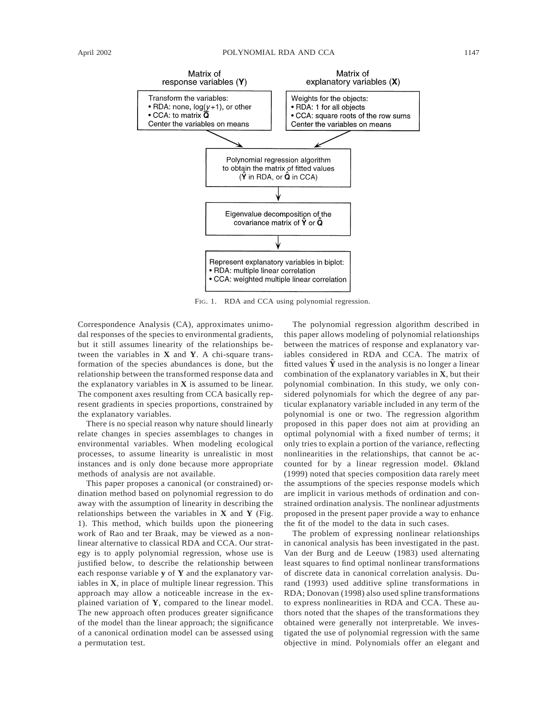

FIG. 1. RDA and CCA using polynomial regression.

Correspondence Analysis (CA), approximates unimodal responses of the species to environmental gradients, but it still assumes linearity of the relationships between the variables in **X** and **Y**. A chi-square transformation of the species abundances is done, but the relationship between the transformed response data and the explanatory variables in **X** is assumed to be linear. The component axes resulting from CCA basically represent gradients in species proportions, constrained by the explanatory variables.

There is no special reason why nature should linearly relate changes in species assemblages to changes in environmental variables. When modeling ecological processes, to assume linearity is unrealistic in most instances and is only done because more appropriate methods of analysis are not available.

This paper proposes a canonical (or constrained) ordination method based on polynomial regression to do away with the assumption of linearity in describing the relationships between the variables in **X** and **Y** (Fig. 1). This method, which builds upon the pioneering work of Rao and ter Braak, may be viewed as a nonlinear alternative to classical RDA and CCA. Our strategy is to apply polynomial regression, whose use is justified below, to describe the relationship between each response variable **y** of **Y** and the explanatory variables in **X**, in place of multiple linear regression. This approach may allow a noticeable increase in the explained variation of **Y**, compared to the linear model. The new approach often produces greater significance of the model than the linear approach; the significance of a canonical ordination model can be assessed using a permutation test.

The polynomial regression algorithm described in this paper allows modeling of polynomial relationships between the matrices of response and explanatory variables considered in RDA and CCA. The matrix of fitted values  $\hat{Y}$  used in the analysis is no longer a linear combination of the explanatory variables in **X**, but their polynomial combination. In this study, we only considered polynomials for which the degree of any particular explanatory variable included in any term of the polynomial is one or two. The regression algorithm proposed in this paper does not aim at providing an optimal polynomial with a fixed number of terms; it only tries to explain a portion of the variance, reflecting nonlinearities in the relationships, that cannot be accounted for by a linear regression model. Økland (1999) noted that species composition data rarely meet the assumptions of the species response models which are implicit in various methods of ordination and constrained ordination analysis. The nonlinear adjustments proposed in the present paper provide a way to enhance the fit of the model to the data in such cases.

The problem of expressing nonlinear relationships in canonical analysis has been investigated in the past. Van der Burg and de Leeuw (1983) used alternating least squares to find optimal nonlinear transformations of discrete data in canonical correlation analysis. Durand (1993) used additive spline transformations in RDA; Donovan (1998) also used spline transformations to express nonlinearities in RDA and CCA. These authors noted that the shapes of the transformations they obtained were generally not interpretable. We investigated the use of polynomial regression with the same objective in mind. Polynomials offer an elegant and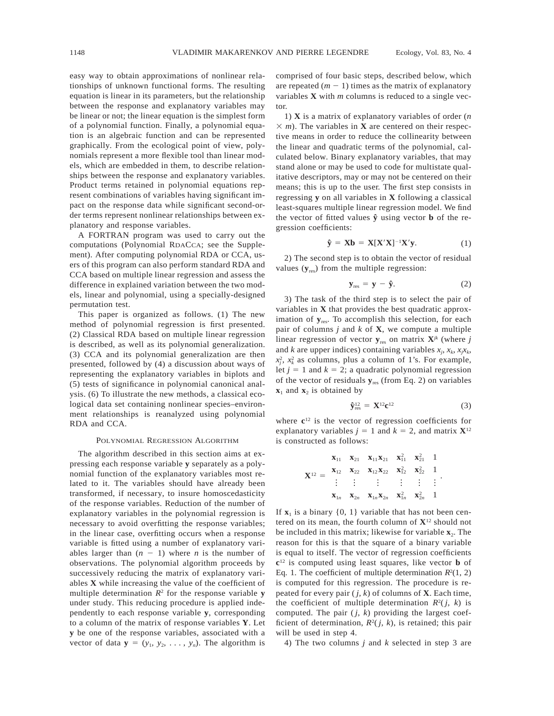easy way to obtain approximations of nonlinear relationships of unknown functional forms. The resulting equation is linear in its parameters, but the relationship between the response and explanatory variables may be linear or not; the linear equation is the simplest form of a polynomial function. Finally, a polynomial equation is an algebraic function and can be represented graphically. From the ecological point of view, polynomials represent a more flexible tool than linear models, which are embedded in them, to describe relationships between the response and explanatory variables. Product terms retained in polynomial equations represent combinations of variables having significant impact on the response data while significant second-order terms represent nonlinear relationships between explanatory and response variables.

A FORTRAN program was used to carry out the computations (Polynomial RDACCA; see the Supplement). After computing polynomial RDA or CCA, users of this program can also perform standard RDA and CCA based on multiple linear regression and assess the difference in explained variation between the two models, linear and polynomial, using a specially-designed permutation test.

This paper is organized as follows. (1) The new method of polynomial regression is first presented. (2) Classical RDA based on multiple linear regression is described, as well as its polynomial generalization. (3) CCA and its polynomial generalization are then presented, followed by (4) a discussion about ways of representing the explanatory variables in biplots and (5) tests of significance in polynomial canonical analysis. (6) To illustrate the new methods, a classical ecological data set containing nonlinear species–environment relationships is reanalyzed using polynomial RDA and CCA.

#### POLYNOMIAL REGRESSION ALGORITHM

The algorithm described in this section aims at expressing each response variable **y** separately as a polynomial function of the explanatory variables most related to it. The variables should have already been transformed, if necessary, to insure homoscedasticity of the response variables. Reduction of the number of explanatory variables in the polynomial regression is necessary to avoid overfitting the response variables; in the linear case, overfitting occurs when a response variable is fitted using a number of explanatory variables larger than  $(n - 1)$  where *n* is the number of observations. The polynomial algorithm proceeds by successively reducing the matrix of explanatory variables **X** while increasing the value of the coefficient of multiple determination  $R^2$  for the response variable **y** under study. This reducing procedure is applied independently to each response variable **y**, corresponding to a column of the matrix of response variables **Y**. Let **y** be one of the response variables, associated with a vector of data  $y = (y_1, y_2, \ldots, y_n)$ . The algorithm is comprised of four basic steps, described below, which are repeated  $(m - 1)$  times as the matrix of explanatory variables **X** with *m* columns is reduced to a single vector.

1) **X** is a matrix of explanatory variables of order (*n*  $\times$  *m*). The variables in **X** are centered on their respective means in order to reduce the collinearity between the linear and quadratic terms of the polynomial, calculated below. Binary explanatory variables, that may stand alone or may be used to code for multistate qualitative descriptors, may or may not be centered on their means; this is up to the user. The first step consists in regressing **y** on all variables in **X** following a classical least-squares multiple linear regression model. We find the vector of fitted values  $\hat{y}$  using vector **b** of the regression coefficients:

$$
\hat{\mathbf{y}} = \mathbf{X}\mathbf{b} = \mathbf{X}[\mathbf{X}'\mathbf{X}]^{-1}\mathbf{X}'\mathbf{y}.
$$
 (1)

2) The second step is to obtain the vector of residual values ( $y_{res}$ ) from the multiple regression:

$$
\mathbf{y}_{\text{res}} = \mathbf{y} - \mathbf{\hat{y}}.\tag{2}
$$

3) The task of the third step is to select the pair of variables in **X** that provides the best quadratic approximation of  $y_{res}$ . To accomplish this selection, for each pair of columns *j* and *k* of **X**, we compute a multiple linear regression of vector  $y_{res}$  on matrix  $X^{jk}$  (where *j* and *k* are upper indices) containing variables  $x_j$ ,  $x_k$ ,  $x_jx_k$ ,  $x_i^2$ ,  $x_k^2$  as columns, plus a column of 1's. For example, let  $j = 1$  and  $k = 2$ ; a quadratic polynomial regression of the vector of residuals **y**res (from Eq. 2) on variables  $\mathbf{x}_1$  and  $\mathbf{x}_2$  is obtained by

$$
\hat{\mathbf{y}}_{\text{res}}^{12} = \mathbf{X}^{12} \mathbf{c}^{12} \tag{3}
$$

where **c**<sup>12</sup> is the vector of regression coefficients for explanatory variables  $j = 1$  and  $k = 2$ , and matrix  $\mathbf{X}^{12}$ is constructed as follows:

$$
\mathbf{X}^{12} = \begin{bmatrix} \mathbf{x}_{11} & \mathbf{x}_{21} & \mathbf{x}_{11} \mathbf{x}_{21} & \mathbf{x}_{11}^{2} & \mathbf{x}_{21}^{2} & 1 \\ \mathbf{x}_{12} & \mathbf{x}_{22} & \mathbf{x}_{12} \mathbf{x}_{22} & \mathbf{x}_{12}^{2} & \mathbf{x}_{22}^{2} & 1 \\ \vdots & \vdots & \vdots & \vdots & \vdots & \vdots \\ \mathbf{x}_{1n} & \mathbf{x}_{2n} & \mathbf{x}_{1n} \mathbf{x}_{2n} & \mathbf{x}_{1n}^{2} & \mathbf{x}_{2n}^{2} & 1 \end{bmatrix}.
$$

If  $\mathbf{x}_1$  is a binary  $\{0, 1\}$  variable that has not been centered on its mean, the fourth column of **X**<sup>12</sup> should not be included in this matrix; likewise for variable **x**<sub>2</sub>. The reason for this is that the square of a binary variable is equal to itself. The vector of regression coefficients **c**<sup>12</sup> is computed using least squares, like vector **b** of Eq. 1. The coefficient of multiple determination  $R^2(1, 2)$ is computed for this regression. The procedure is repeated for every pair  $(j, k)$  of columns of **X**. Each time, the coefficient of multiple determination  $R^2(j, k)$  is computed. The pair  $(i, k)$  providing the largest coefficient of determination,  $R^2(j, k)$ , is retained; this pair will be used in step 4.

4) The two columns *j* and *k* selected in step 3 are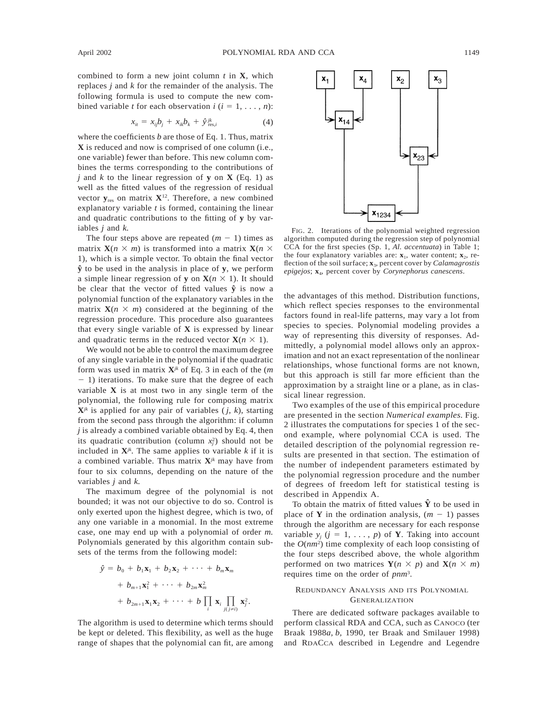combined to form a new joint column *t* in **X**, which replaces *j* and *k* for the remainder of the analysis. The following formula is used to compute the new combined variable *t* for each observation  $i$  ( $i = 1, \ldots, n$ ):

$$
x_{it} = x_{ij}b_j + x_{ik}b_k + \hat{y}_{\text{res},i}^{jk}
$$
 (4)

where the coefficients *b* are those of Eq. 1. Thus, matrix **X** is reduced and now is comprised of one column (i.e., one variable) fewer than before. This new column combines the terms corresponding to the contributions of *j* and *k* to the linear regression of **y** on **X** (Eq. 1) as well as the fitted values of the regression of residual vector  $y_{res}$  on matrix  $X^{12}$ . Therefore, a new combined explanatory variable *t* is formed, containing the linear and quadratic contributions to the fitting of **y** by variables *j* and *k.*

The four steps above are repeated  $(m - 1)$  times as matrix  $\mathbf{X}(n \times m)$  is transformed into a matrix  $\mathbf{X}(n \times$ 1), which is a simple vector. To obtain the final vector **yˆ** to be used in the analysis in place of **y**, we perform a simple linear regression of **y** on  $X(n \times 1)$ . It should be clear that the vector of fitted values  $\hat{y}$  is now a polynomial function of the explanatory variables in the matrix  $\mathbf{X}(n \times m)$  considered at the beginning of the regression procedure. This procedure also guarantees that every single variable of **X** is expressed by linear and quadratic terms in the reduced vector  $\mathbf{X}(n \times 1)$ .

We would not be able to control the maximum degree of any single variable in the polynomial if the quadratic form was used in matrix **X***jk* of Eq. 3 in each of the (*m*  $-1$ ) iterations. To make sure that the degree of each variable **X** is at most two in any single term of the polynomial, the following rule for composing matrix  $\mathbf{X}^{jk}$  is applied for any pair of variables  $(j, k)$ , starting from the second pass through the algorithm: if column *j* is already a combined variable obtained by Eq. 4, then its quadratic contribution (column  $x_i^2$ ) should not be included in  $X^{jk}$ . The same applies to variable *k* if it is a combined variable. Thus matrix  $X^{jk}$  may have from four to six columns, depending on the nature of the variables *j* and *k.*

The maximum degree of the polynomial is not bounded; it was not our objective to do so. Control is only exerted upon the highest degree, which is two, of any one variable in a monomial. In the most extreme case, one may end up with a polynomial of order *m.* Polynomials generated by this algorithm contain subsets of the terms from the following model:

$$
\hat{y} = b_0 + b_1 \mathbf{x}_1 + b_2 \mathbf{x}_2 + \cdots + b_m \mathbf{x}_m
$$
  
+ 
$$
b_{m+1} \mathbf{x}_1^2 + \cdots + b_{2m} \mathbf{x}_m^2
$$
  
+ 
$$
b_{2m+1} \mathbf{x}_1 \mathbf{x}_2 + \cdots + b \prod_i \mathbf{x}_i \prod_{j \, (j \neq i)} \mathbf{x}_j^2.
$$

The algorithm is used to determine which terms should be kept or deleted. This flexibility, as well as the huge range of shapes that the polynomial can fit, are among



FIG. 2. Iterations of the polynomial weighted regression algorithm computed during the regression step of polynomial CCA for the first species (Sp. 1, *Al. accentuata*) in Table 1; the four explanatory variables are:  $\mathbf{x}_1$ , water content;  $\mathbf{x}_2$ , reflection of the soil surface; **x**3, percent cover by *Calamagrostis epigejos*; **x**4, percent cover by *Corynephorus canescens*.

the advantages of this method. Distribution functions, which reflect species responses to the environmental factors found in real-life patterns, may vary a lot from species to species. Polynomial modeling provides a way of representing this diversity of responses. Admittedly, a polynomial model allows only an approximation and not an exact representation of the nonlinear relationships, whose functional forms are not known, but this approach is still far more efficient than the approximation by a straight line or a plane, as in classical linear regression.

Two examples of the use of this empirical procedure are presented in the section *Numerical examples.* Fig. 2 illustrates the computations for species 1 of the second example, where polynomial CCA is used. The detailed description of the polynomial regression results are presented in that section. The estimation of the number of independent parameters estimated by the polynomial regression procedure and the number of degrees of freedom left for statistical testing is described in Appendix A.

To obtain the matrix of fitted values  $\hat{Y}$  to be used in place of **Y** in the ordination analysis,  $(m - 1)$  passes through the algorithm are necessary for each response variable  $y_i$  ( $j = 1, \ldots, p$ ) of **Y**. Taking into account the *O*(*nm*2) time complexity of each loop consisting of the four steps described above, the whole algorithm performed on two matrices  $\mathbf{Y}(n \times p)$  and  $\mathbf{X}(n \times m)$ requires time on the order of *pnm*3.

#### REDUNDANCY ANALYSIS AND ITS POLYNOMIAL GENERALIZATION

There are dedicated software packages available to perform classical RDA and CCA, such as CANOCO (ter Braak 1988*a, b,* 1990, ter Braak and Smilauer 1998) and RDACCA described in Legendre and Legendre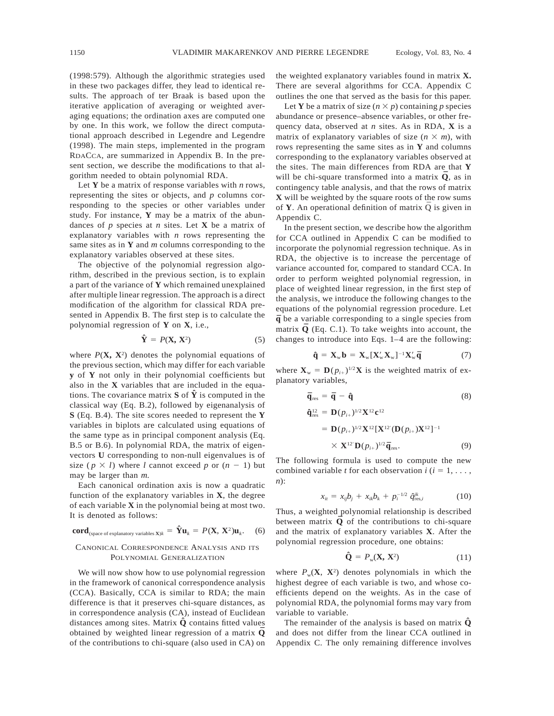(1998:579). Although the algorithmic strategies used in these two packages differ, they lead to identical results. The approach of ter Braak is based upon the iterative application of averaging or weighted averaging equations; the ordination axes are computed one by one. In this work, we follow the direct computational approach described in Legendre and Legendre (1998). The main steps, implemented in the program RDACCA, are summarized in Appendix B. In the present section, we describe the modifications to that algorithm needed to obtain polynomial RDA.

Let **Y** be a matrix of response variables with *n* rows, representing the sites or objects, and *p* columns corresponding to the species or other variables under study. For instance, **Y** may be a matrix of the abundances of *p* species at *n* sites. Let **X** be a matrix of explanatory variables with *n* rows representing the same sites as in **Y** and *m* columns corresponding to the explanatory variables observed at these sites.

The objective of the polynomial regression algorithm, described in the previous section, is to explain a part of the variance of **Y** which remained unexplained after multiple linear regression. The approach is a direct modification of the algorithm for classical RDA presented in Appendix B. The first step is to calculate the polynomial regression of **Y** on **X**, i.e.,

$$
\hat{\mathbf{Y}} = P(\mathbf{X}, \mathbf{X}^2) \tag{5}
$$

where  $P(X, X^2)$  denotes the polynomial equations of the previous section, which may differ for each variable **y** of **Y** not only in their polynomial coefficients but also in the **X** variables that are included in the equations. The covariance matrix **S** of  $\hat{\mathbf{Y}}$  is computed in the classical way (Eq. B.2), followed by eigenanalysis of **S** (Eq. B.4). The site scores needed to represent the **Y** variables in biplots are calculated using equations of the same type as in principal component analysis (Eq. B.5 or B.6). In polynomial RDA, the matrix of eigenvectors **U** corresponding to non-null eigenvalues is of size ( $p \times l$ ) where *l* cannot exceed *p* or  $(n - 1)$  but may be larger than *m.*

Each canonical ordination axis is now a quadratic function of the explanatory variables in **X**, the degree of each variable **X** in the polynomial being at most two. It is denoted as follows:

$$
\mathbf{cord}_{(\text{space of explanatory variables }\mathbf{X})k} = \mathbf{\hat{Y}}\mathbf{u}_k = P(\mathbf{X}, \mathbf{X}^2)\mathbf{u}_k. \quad (6)
$$

### CANONICAL CORRESPONDENCE ANALYSIS AND ITS POLYNOMIAL GENERALIZATION

We will now show how to use polynomial regression in the framework of canonical correspondence analysis (CCA). Basically, CCA is similar to RDA; the main difference is that it preserves chi-square distances, as in correspondence analysis (CA), instead of Euclidean distances among sites. Matrix **Qˆ** contains fitted values obtained by weighted linear regression of a matrix  $\bar{Q}$ of the contributions to chi-square (also used in CA) on the weighted explanatory variables found in matrix **X.** There are several algorithms for CCA. Appendix C outlines the one that served as the basis for this paper.

Let **Y** be a matrix of size  $(n \times p)$  containing *p* species abundance or presence–absence variables, or other frequency data, observed at *n* sites. As in RDA, **X** is a matrix of explanatory variables of size  $(n \times m)$ , with rows representing the same sites as in **Y** and columns corresponding to the explanatory variables observed at the sites. The main differences from RDA are that **Y** will be chi-square transformed into a matrix  $\overline{Q}$ , as in contingency table analysis, and that the rows of matrix **X** will be weighted by the square roots of the row sums of **Y**. An operational definition of matrix  $\overline{Q}$  is given in Appendix C.

In the present section, we describe how the algorithm for CCA outlined in Appendix C can be modified to incorporate the polynomial regression technique. As in RDA, the objective is to increase the percentage of variance accounted for, compared to standard CCA. In order to perform weighted polynomial regression, in place of weighted linear regression, in the first step of the analysis, we introduce the following changes to the equations of the polynomial regression procedure. Let  $\bar{q}$  be a variable corresponding to a single species from matrix  $\overline{Q}$  (Eq. C.1). To take weights into account, the changes to introduce into Eqs. 1–4 are the following:

$$
\hat{\mathbf{q}} = \mathbf{X}_{\mathrm{w}} \mathbf{b} = \mathbf{X}_{\mathrm{w}} [\mathbf{X}_{\mathrm{w}}' \mathbf{X}_{\mathrm{w}}]^{-1} \mathbf{X}_{\mathrm{w}}' \bar{\mathbf{q}} \tag{7}
$$

where  $\mathbf{X}_{w} = \mathbf{D}(p_{i+1})^{1/2}\mathbf{X}$  is the weighted matrix of explanatory variables,

$$
\bar{\mathbf{q}}_{\text{res}} = \bar{\mathbf{q}} - \hat{\mathbf{q}} \tag{8}
$$

$$
\hat{\mathbf{q}}_{\text{res}}^{12} = \mathbf{D}(p_{i+})^{1/2} \mathbf{X}^{12} \mathbf{c}^{12} \n= \mathbf{D}(p_{i+})^{1/2} \mathbf{X}^{12} [\mathbf{X}^{12'} (\mathbf{D}(p_{i+}) \mathbf{X}^{12}]^{-1} \n\times \mathbf{X}^{12'} \mathbf{D}(p_{i+})^{1/2} \bar{\mathbf{q}}_{\text{res}}.
$$
\n(9)

The following formula is used to compute the new combined variable *t* for each observation  $i$  ( $i = 1, \ldots$ , *n*):

$$
x_{it} = x_{ij}b_j + x_{ik}b_k + p_i^{-1/2} \hat{q}_{\text{res},i}^{ik}
$$
 (10)

Thus, a weighted polynomial relationship is described between matrix  $\bar{Q}$  of the contributions to chi-square and the matrix of explanatory variables **X**. After the polynomial regression procedure, one obtains:

$$
\hat{\mathbf{Q}} = P_{\mathbf{w}}(\mathbf{X}, \mathbf{X}^2) \tag{11}
$$

where  $P_w(\mathbf{X}, \mathbf{X}^2)$  denotes polynomials in which the highest degree of each variable is two, and whose coefficients depend on the weights. As in the case of polynomial RDA, the polynomial forms may vary from variable to variable.

The remainder of the analysis is based on matrix  $\hat{O}$ and does not differ from the linear CCA outlined in Appendix C. The only remaining difference involves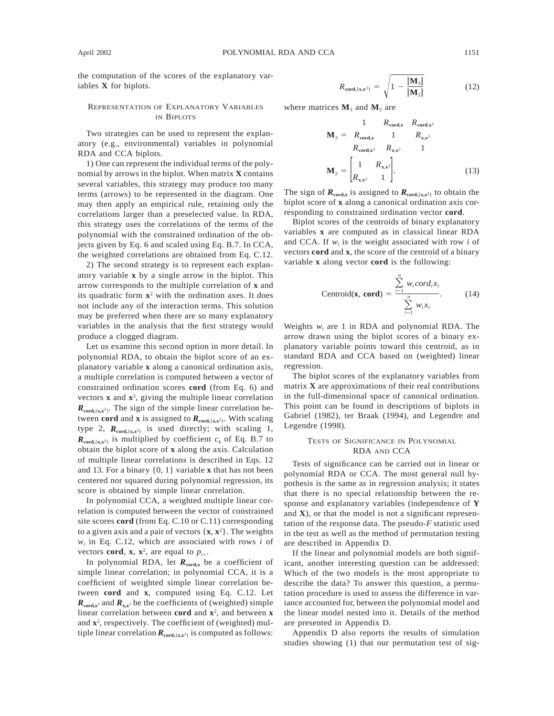the computation of the scores of the explanatory variables **X** for biplots.

#### REPRESENTATION OF EXPLANATORY VARIABLES IN BIPLOTS

Two strategies can be used to represent the explanatory (e.g., environmental) variables in polynomial RDA and CCA biplots.

1) One can represent the individual terms of the polynomial by arrows in the biplot. When matrix **X** contains several variables, this strategy may produce too many terms (arrows) to be represented in the diagram. One may then apply an empirical rule, retaining only the correlations larger than a preselected value. In RDA, this strategy uses the correlations of the terms of the polynomial with the constrained ordination of the objects given by Eq. 6 and scaled using Eq. B.7. In CCA, the weighted correlations are obtained from Eq. C.12.

2) The second strategy is to represent each explanatory variable **x** by a single arrow in the biplot. This arrow corresponds to the multiple correlation of **x** and its quadratic form **x**<sup>2</sup> with the ordination axes. It does not include any of the interaction terms. This solution may be preferred when there are so many explanatory variables in the analysis that the first strategy would produce a clogged diagram.

Let us examine this second option in more detail. In polynomial RDA, to obtain the biplot score of an explanatory variable **x** along a canonical ordination axis, a multiple correlation is computed between a vector of constrained ordination scores **cord** (from Eq. 6) and vectors **x** and **x**2, giving the multiple linear correlation  $R_{\text{cord},\{x,x^2\}}$ . The sign of the simple linear correlation between **cord** and **x** is assigned to  $R_{\text{cord},\{x,x^2\}}$ . With scaling type 2,  $\mathbf{R}_{\text{cord},\{x,x^2\}}$  is used directly; with scaling 1,  $\mathbf{R}_{\text{cord},\{x,x^2\}}$  is multiplied by coefficient  $c_k$  of Eq. B.7 to obtain the biplot score of **x** along the axis. Calculation of multiple linear correlations is described in Eqs. 12 and 13. For a binary {0, 1} variable **x** that has not been centered nor squared during polynomial regression, its score is obtained by simple linear correlation.

In polynomial CCA, a weighted multiple linear correlation is computed between the vector of constrained site scores **cord** (from Eq. C.10 or C.11) corresponding to a given axis and a pair of vectors {**x**, **x**2}. The weights *wi* in Eq. C.12, which are associated with rows *i* of vectors **cord**, **x**, **x**<sup>2</sup>, are equal to  $p_{i+}$ .

In polynomial RDA, let  $R_{\text{cord},x}$  be a coefficient of simple linear correlation; in polynomial CCA, it is a coefficient of weighted simple linear correlation between **cord** and **x**, computed using Eq. C.12. Let  $R_{\text{cordx}^2}$  and  $R_{\text{x}x^2}$  be the coefficients of (weighted) simple linear correlation between **cord** and **x**2, and between **x** and **x**2, respectively. The coefficient of (weighted) multiple linear correlation  $R_{\text{cord},\{x,x^2\}}$  is computed as follows:

$$
R_{\text{cord},\{\mathbf{x},\mathbf{x}^2\}} = \sqrt{1 - \frac{|\mathbf{M}_3|}{|\mathbf{M}_2|}}\tag{12}
$$

where matrices  $M_3$  and  $M_2$  are

$$
\mathbf{M}_{3} = \begin{bmatrix} 1 & R_{\text{cord},x} & R_{\text{cord},x^{2}} \\ R_{\text{cord},x} & 1 & R_{\text{x},x^{2}} \\ R_{\text{cord},x^{2}} & R_{\text{x},x^{2}} & 1 \end{bmatrix}
$$

$$
\mathbf{M}_{2} = \begin{bmatrix} 1 & R_{\text{x},x^{2}} \\ R_{\text{x},x^{2}} & 1 \end{bmatrix}.
$$
(13)

The sign of  $\mathbf{R}_{\text{cord},x}$  is assigned to  $\mathbf{R}_{\text{cord},\{x,x^2\}}$  to obtain the biplot score of **x** along a canonical ordination axis corresponding to constrained ordination vector **cord**.

Biplot scores of the centroids of binary explanatory variables **x** are computed as in classical linear RDA and CCA. If  $w_i$  is the weight associated with row *i* of vectors **cord** and **x**, the score of the centroid of a binary variable **x** along vector **cord** is the following:

$$
\text{Centroid}(\mathbf{x}, \text{ cord}) = \frac{\sum_{i=1}^{n} w_i \text{cord}_i x_i}{\sum_{i=1}^{n} w_i x_i}.
$$
 (14)

Weights *wi* are 1 in RDA and polynomial RDA. The arrow drawn using the biplot scores of a binary explanatory variable points toward this centroid, as in standard RDA and CCA based on (weighted) linear regression.

The biplot scores of the explanatory variables from matrix **X** are approximations of their real contributions in the full-dimensional space of canonical ordination. This point can be found in descriptions of biplots in Gabriel (1982), ter Braak (1994), and Legendre and Legendre (1998).

#### TESTS OF SIGNIFICANCE IN POLYNOMIAL RDA AND CCA

Tests of significance can be carried out in linear or polynomial RDA or CCA. The most general null hypothesis is the same as in regression analysis; it states that there is no special relationship between the response and explanatory variables (independence of **Y** and **X**), or that the model is not a significant representation of the response data. The pseudo-*F* statistic used in the test as well as the method of permutation testing are described in Appendix D.

If the linear and polynomial models are both significant, another interesting question can be addressed: Which of the two models is the most appropriate to describe the data? To answer this question, a permutation procedure is used to assess the difference in variance accounted for, between the polynomial model and the linear model nested into it. Details of the method are presented in Appendix D.

Appendix D also reports the results of simulation studies showing (1) that our permutation test of sig-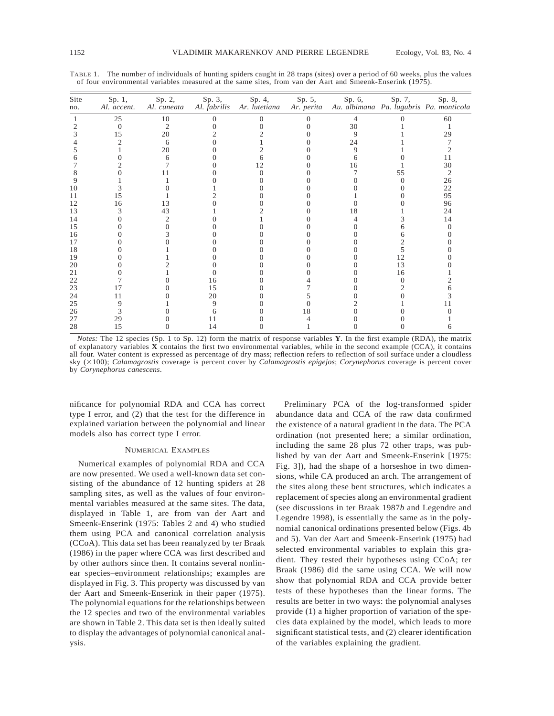| Site<br>no.    | Sp. 1,<br>Al. accent. | Sp. 2,<br>Al. cuneata | Sp. 3,<br>Al. fabrilis | Sp. 4, | Sp. 5,   | Sp. 6,<br>Ar. lutetiana Ar. perita Au. albimana Pa. lugubris Pa. monticola | Sp. 7, | Sp. 8, |
|----------------|-----------------------|-----------------------|------------------------|--------|----------|----------------------------------------------------------------------------|--------|--------|
|                | 25                    | 10                    | 0                      | 0      | $\Omega$ | $\overline{4}$                                                             |        | 60     |
| $\overline{c}$ | $\Omega$              | $\overline{c}$        |                        |        |          | 30                                                                         |        |        |
| 3              | 15                    | 20                    |                        |        |          | 9                                                                          |        | 29     |
|                | 2                     | 6                     |                        |        |          | 24                                                                         |        |        |
|                |                       | 20                    |                        |        |          | 9                                                                          |        |        |
|                |                       | 6                     |                        |        |          | 6                                                                          |        | 11     |
|                |                       |                       |                        | 12     |          | 16                                                                         |        | 30     |
| 8              |                       | 11                    |                        |        |          |                                                                            | 55     | 2      |
| 9              |                       |                       |                        |        |          |                                                                            |        | 26     |
| 10             |                       |                       |                        |        |          |                                                                            |        | 22     |
| 11             | 15                    |                       |                        |        |          |                                                                            |        | 95     |
| 12             | 16                    | 13                    |                        |        |          |                                                                            |        | 96     |
| 13             | 3                     | 43                    |                        |        |          | 18                                                                         |        | 24     |
| 14             | $\left( \right)$      |                       |                        |        |          |                                                                            |        | 14     |
| 15             |                       |                       |                        |        |          |                                                                            |        |        |
| 16             |                       |                       |                        |        |          |                                                                            |        |        |
| 17             |                       |                       |                        |        |          |                                                                            |        |        |
| 18             |                       |                       |                        |        |          |                                                                            |        |        |
| 19             |                       |                       |                        |        |          |                                                                            | 12     |        |
| 20             |                       |                       |                        |        |          |                                                                            | 13     |        |
| 21             |                       |                       |                        |        |          |                                                                            | 16     |        |
| 22             |                       |                       | 16                     |        |          |                                                                            | 0      |        |
| 23             | 17                    |                       | 15                     |        |          |                                                                            |        |        |
| 24             | 11                    |                       | 20                     |        |          |                                                                            |        |        |
| 25             | 9                     |                       | 9                      |        |          |                                                                            |        |        |
| 26             | 3                     |                       |                        |        | 18       |                                                                            |        |        |
| 27             | 29                    |                       | 11                     |        |          |                                                                            |        |        |
| 28             | 15                    |                       | 14                     |        |          |                                                                            |        |        |

TABLE 1. The number of individuals of hunting spiders caught in 28 traps (sites) over a period of 60 weeks, plus the values of four environmental variables measured at the same sites, from van der Aart and Smeenk-Enserink (1975).

*Notes:* The 12 species (Sp. 1 to Sp. 12) form the matrix of response variables **Y**. In the first example (RDA), the matrix of explanatory variables **X** contains the first two environmental variables, while in the second example (CCA), it contains all four. Water content is expressed as percentage of dry mass; reflection refers to reflection of soil surface under a cloudless sky (3100); *Calamagrostis* coverage is percent cover by *Calamagrostis epigejos*; *Corynephorus* coverage is percent cover by *Corynephorus canescens*.

nificance for polynomial RDA and CCA has correct type I error, and (2) that the test for the difference in explained variation between the polynomial and linear models also has correct type I error.

#### NUMERICAL EXAMPLES

Numerical examples of polynomial RDA and CCA are now presented. We used a well-known data set consisting of the abundance of 12 hunting spiders at 28 sampling sites, as well as the values of four environmental variables measured at the same sites. The data, displayed in Table 1, are from van der Aart and Smeenk-Enserink (1975: Tables 2 and 4) who studied them using PCA and canonical correlation analysis (CCoA). This data set has been reanalyzed by ter Braak (1986) in the paper where CCA was first described and by other authors since then. It contains several nonlinear species–environment relationships; examples are displayed in Fig. 3. This property was discussed by van der Aart and Smeenk-Enserink in their paper (1975). The polynomial equations for the relationships between the 12 species and two of the environmental variables are shown in Table 2. This data set is then ideally suited to display the advantages of polynomial canonical analysis.

Preliminary PCA of the log-transformed spider abundance data and CCA of the raw data confirmed the existence of a natural gradient in the data. The PCA ordination (not presented here; a similar ordination, including the same 28 plus 72 other traps, was published by van der Aart and Smeenk-Enserink [1975: Fig. 3]), had the shape of a horseshoe in two dimensions, while CA produced an arch. The arrangement of the sites along these bent structures, which indicates a replacement of species along an environmental gradient (see discussions in ter Braak 1987*b* and Legendre and Legendre 1998), is essentially the same as in the polynomial canonical ordinations presented below (Figs. 4b and 5). Van der Aart and Smeenk-Enserink (1975) had selected environmental variables to explain this gradient. They tested their hypotheses using CCoA; ter Braak (1986) did the same using CCA. We will now show that polynomial RDA and CCA provide better tests of these hypotheses than the linear forms. The results are better in two ways: the polynomial analyses provide (1) a higher proportion of variation of the species data explained by the model, which leads to more significant statistical tests, and (2) clearer identification of the variables explaining the gradient.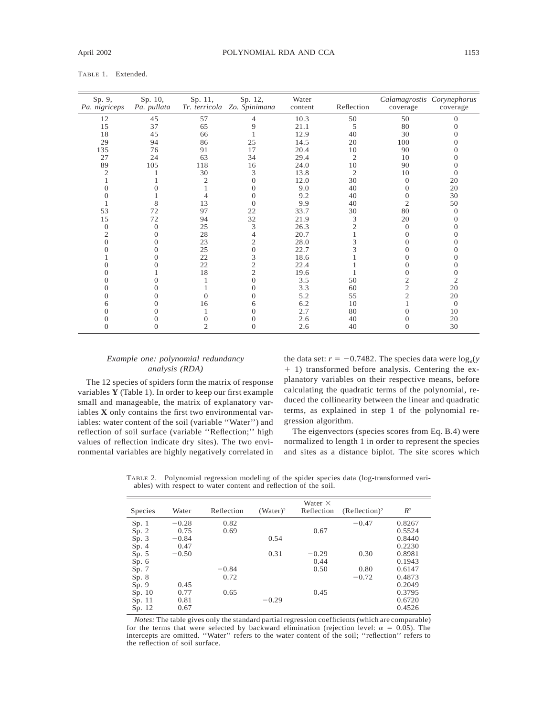| Table 1. |  | Extended. |
|----------|--|-----------|
|----------|--|-----------|

| Sp. 9,<br>Pa. nigriceps | Sp. 10,<br>Pa. pullata | Sp. 11,        | Sp. 12,<br>Tr. terricola Zo. Spinimana | Water<br>content | Reflection     | Calamagrostis Corynephorus<br>coverage | coverage |
|-------------------------|------------------------|----------------|----------------------------------------|------------------|----------------|----------------------------------------|----------|
| 12                      | 45                     | 57             | 4                                      | 10.3             | 50             | 50                                     | $\Omega$ |
| 15                      | 37                     | 65             | 9                                      | 21.1             | 5              | 80                                     |          |
| 18                      | 45                     | 66             |                                        | 12.9             | 40             | 30                                     |          |
| 29                      | 94                     | 86             | 25                                     | 14.5             | 20             | 100                                    |          |
| 135                     | 76                     | 91             | 17                                     | 20.4             | 10             | 90                                     |          |
| 27                      | 24                     | 63             | 34                                     | 29.4             | 2              | 10                                     |          |
| 89                      | 105                    | 118            | 16                                     | 24.0             | 10             | 90                                     |          |
| $\overline{c}$          |                        | 30             | 3                                      | 13.8             | $\overline{c}$ | 10                                     | $\Omega$ |
|                         |                        | 2              | 0                                      | 12.0             | 30             | $\Omega$                               | 20       |
| $\Omega$                |                        |                |                                        | 9.0              | 40             | $\Omega$                               | 20       |
|                         |                        |                | $\theta$                               | 9.2              | 40             | $\Omega$                               | 30       |
|                         | 8                      | 13             | $\Omega$                               | 9.9              | 40             | $\overline{2}$                         | 50       |
| 53                      | 72                     | 97             | 22                                     | 33.7             | 30             | 80                                     | $\Omega$ |
| 15                      | 72                     | 94             | 32                                     | 21.9             | 3              | 20                                     |          |
| $\Omega$                | $\Omega$               | 25             | 3                                      | 26.3             | 2              | $\Omega$                               |          |
| 2                       | 0                      | 28             | 4                                      | 20.7             |                | $\Omega$                               |          |
| $\Omega$                | 0                      | 23             | $\overline{c}$                         | 28.0             | 3              | $\Omega$                               |          |
|                         |                        | 25             | $\Omega$                               | 22.7             |                | $\Omega$                               |          |
|                         |                        | 22             | 3                                      | 18.6             |                |                                        |          |
| 0                       |                        | 22             | $\overline{c}$                         | 22.4             |                | $\Omega$                               |          |
| 0                       |                        | 18             | $\overline{2}$                         | 19.6             |                | $\Omega$                               | $\Omega$ |
|                         |                        |                | $\theta$                               | 3.5              | 50             | $\mathfrak{2}$                         | 2        |
|                         |                        |                | $\Omega$                               | 3.3              | 60             | $\overline{2}$                         | $20\,$   |
|                         |                        | 0              |                                        | 5.2              | 55             | $\overline{2}$                         | 20       |
| 6                       |                        | 16             | 6                                      | 6.2              | 10             |                                        | $\Omega$ |
| 0                       |                        |                |                                        | 2.7              | 80             | $\Omega$                               | 10       |
| $\Omega$                | 0                      | $\Omega$       |                                        | 2.6              | 40             | $\theta$                               | 20       |
| $\overline{0}$          | $\overline{0}$         | $\overline{2}$ | $\theta$                               | 2.6              | 40             | $\theta$                               | 30       |

#### *Example one: polynomial redundancy analysis (RDA)*

The 12 species of spiders form the matrix of response variables **Y** (Table 1). In order to keep our first example small and manageable, the matrix of explanatory variables **X** only contains the first two environmental variables: water content of the soil (variable ''Water'') and reflection of soil surface (variable ''Reflection;'' high values of reflection indicate dry sites). The two environmental variables are highly negatively correlated in the data set:  $r = -0.7482$ . The species data were  $\log_e(y)$  1) transformed before analysis. Centering the explanatory variables on their respective means, before calculating the quadratic terms of the polynomial, reduced the collinearity between the linear and quadratic terms, as explained in step 1 of the polynomial regression algorithm.

The eigenvectors (species scores from Eq. B.4) were normalized to length 1 in order to represent the species and sites as a distance biplot. The site scores which

TABLE 2. Polynomial regression modeling of the spider species data (log-transformed variables) with respect to water content and reflection of the soil.

|                |         |            |             | Water $\times$ |                           |        |
|----------------|---------|------------|-------------|----------------|---------------------------|--------|
| <b>Species</b> | Water   | Reflection | $(Water)^2$ | Reflection     | (Reflection) <sup>2</sup> | $R^2$  |
| Sp.1           | $-0.28$ | 0.82       |             |                | $-0.47$                   | 0.8267 |
| Sp. 2          | 0.75    | 0.69       |             | 0.67           |                           | 0.5524 |
| Sp.3           | $-0.84$ |            | 0.54        |                |                           | 0.8440 |
| Sp.4           | 0.47    |            |             |                |                           | 0.2230 |
| Sp. 5          | $-0.50$ |            | 0.31        | $-0.29$        | 0.30                      | 0.8981 |
| Sp.6           |         |            |             | 0.44           |                           | 0.1943 |
| Sp. 7          |         | $-0.84$    |             | 0.50           | 0.80                      | 0.6147 |
| Sp.8           |         | 0.72       |             |                | $-0.72$                   | 0.4873 |
| Sp.9           | 0.45    |            |             |                |                           | 0.2049 |
| Sp. 10         | 0.77    | 0.65       |             | 0.45           |                           | 0.3795 |
| Sp. 11         | 0.81    |            | $-0.29$     |                |                           | 0.6720 |
| Sp. 12         | 0.67    |            |             |                |                           | 0.4526 |

*Notes:* The table gives only the standard partial regression coefficients (which are comparable) for the terms that were selected by backward elimination (rejection level:  $\alpha = 0.05$ ). The intercepts are omitted. ''Water'' refers to the water content of the soil; ''reflection'' refers to the reflection of soil surface.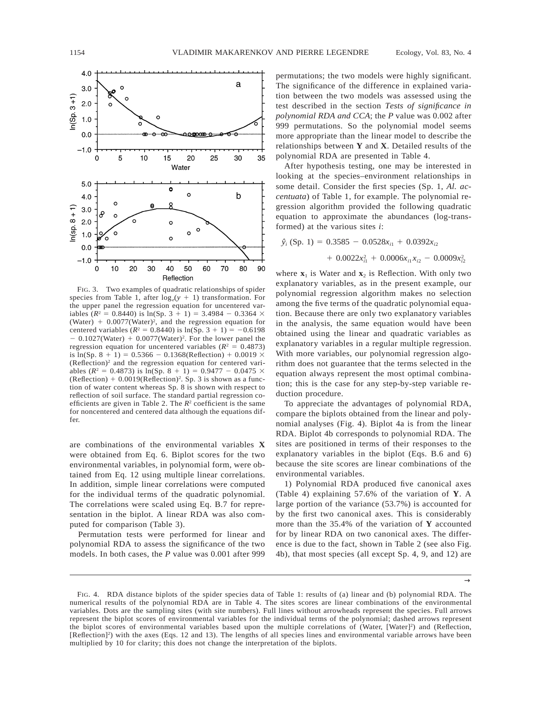

FIG. 3. Two examples of quadratic relationships of spider species from Table 1, after  $log_e(y + 1)$  transformation. For the upper panel the regression equation for uncentered variables ( $R^2 = 0.8440$ ) is ln(Sp. 3 + 1) = 3.4984 - 0.3364  $\times$ (Water)  $+ 0.0077$ (Water)<sup>2</sup>, and the regression equation for centered variables ( $R^2 = 0.8440$ ) is ln(Sp. 3 + 1) = -0.6198  $0.1027$ (Water) +  $0.0077$ (Water)<sup>2</sup>. For the lower panel the regression equation for uncentered variables  $(R^2 = 0.4873)$ is  $ln(Sp. 8 + 1) = 0.5366 - 0.1368(Reflection) + 0.0019 \times$ (Reflection)2 and the regression equation for centered variables ( $R^2$  = 0.4873) is ln(Sp. 8 + 1) = 0.9477 - 0.0475  $\times$ (Reflection)  $+ 0.0019$ (Reflection)<sup>2</sup>. Sp. 3 is shown as a function of water content whereas Sp. 8 is shown with respect to reflection of soil surface. The standard partial regression coefficients are given in Table 2. The *R*<sup>2</sup> coefficient is the same for noncentered and centered data although the equations differ.

are combinations of the environmental variables **X** were obtained from Eq. 6. Biplot scores for the two environmental variables, in polynomial form, were obtained from Eq. 12 using multiple linear correlations. In addition, simple linear correlations were computed for the individual terms of the quadratic polynomial. The correlations were scaled using Eq. B.7 for representation in the biplot. A linear RDA was also computed for comparison (Table 3).

Permutation tests were performed for linear and polynomial RDA to assess the significance of the two models. In both cases, the *P* value was 0.001 after 999

permutations; the two models were highly significant. The significance of the difference in explained variation between the two models was assessed using the test described in the section *Tests of significance in polynomial RDA and CCA*; the *P* value was 0.002 after 999 permutations. So the polynomial model seems more appropriate than the linear model to describe the relationships between **Y** and **X**. Detailed results of the polynomial RDA are presented in Table 4.

After hypothesis testing, one may be interested in looking at the species–environment relationships in some detail. Consider the first species (Sp. 1, *Al. accentuata*) of Table 1, for example. The polynomial regression algorithm provided the following quadratic equation to approximate the abundances (log-transformed) at the various sites *i*:

$$
\hat{y}_i \text{ (Sp. 1)} = 0.3585 - 0.0528x_{i1} + 0.0392x_{i2} \n+ 0.0022x_{i1}^2 + 0.0006x_{i1}x_{i2} - 0.0009x_{i2}^2
$$

where  $\mathbf{x}_1$  is Water and  $\mathbf{x}_2$  is Reflection. With only two explanatory variables, as in the present example, our polynomial regression algorithm makes no selection among the five terms of the quadratic polynomial equation. Because there are only two explanatory variables in the analysis, the same equation would have been obtained using the linear and quadratic variables as explanatory variables in a regular multiple regression. With more variables, our polynomial regression algorithm does not guarantee that the terms selected in the equation always represent the most optimal combination; this is the case for any step-by-step variable reduction procedure.

To appreciate the advantages of polynomial RDA, compare the biplots obtained from the linear and polynomial analyses (Fig. 4). Biplot 4a is from the linear RDA. Biplot 4b corresponds to polynomial RDA. The sites are positioned in terms of their responses to the explanatory variables in the biplot (Eqs. B.6 and 6) because the site scores are linear combinations of the environmental variables.

1) Polynomial RDA produced five canonical axes (Table 4) explaining 57.6% of the variation of **Y**. A large portion of the variance (53.7%) is accounted for by the first two canonical axes. This is considerably more than the 35.4% of the variation of **Y** accounted for by linear RDA on two canonical axes. The difference is due to the fact, shown in Table 2 (see also Fig. 4b), that most species (all except Sp. 4, 9, and 12) are

 $\rightarrow$ 

FIG. 4. RDA distance biplots of the spider species data of Table 1: results of (a) linear and (b) polynomial RDA. The numerical results of the polynomial RDA are in Table 4. The sites scores are linear combinations of the environmental variables. Dots are the sampling sites (with site numbers). Full lines without arrowheads represent the species. Full arrows represent the biplot scores of environmental variables for the individual terms of the polynomial; dashed arrows represent the biplot scores of environmental variables based upon the multiple correlations of (Water, [Water]<sup>2</sup>) and (Reflection, [Reflection]2) with the axes (Eqs. 12 and 13). The lengths of all species lines and environmental variable arrows have been multiplied by 10 for clarity; this does not change the interpretation of the biplots.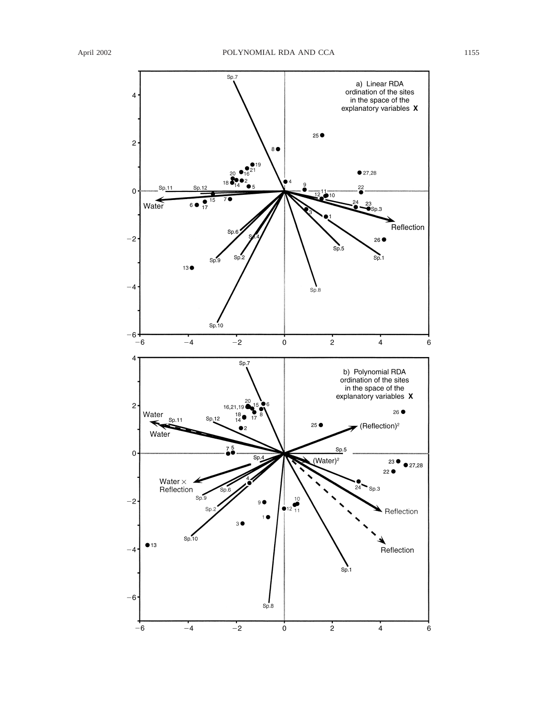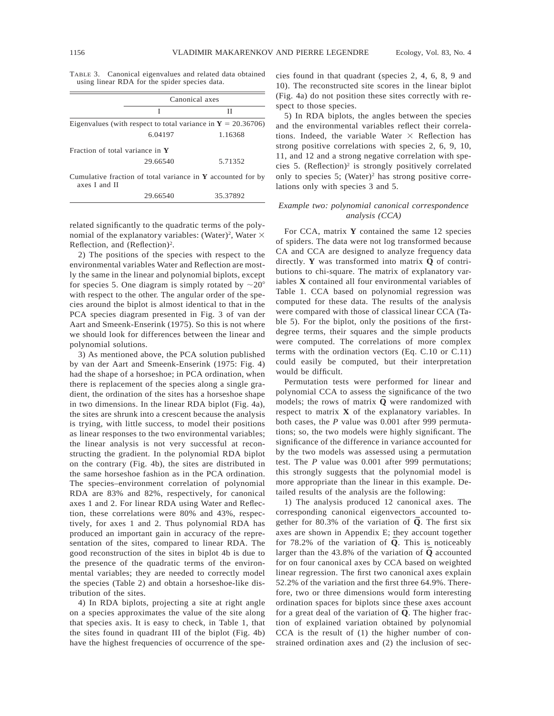TABLE 3. Canonical eigenvalues and related data obtained using linear RDA for the spider species data.

|                                                                                |          | Canonical axes |
|--------------------------------------------------------------------------------|----------|----------------|
|                                                                                | I        | Н              |
| Eigenvalues (with respect to total variance in $Y = 20.36706$ )                |          |                |
|                                                                                | 6.04197  | 1.16368        |
| Fraction of total variance in $Y$                                              |          |                |
|                                                                                | 29.66540 | 5.71352        |
| Cumulative fraction of total variance in $Y$ accounted for by<br>axes I and II |          |                |
|                                                                                | 29.66540 | 35.37892       |

related significantly to the quadratic terms of the polynomial of the explanatory variables: (Water)<sup>2</sup>, Water  $\times$ Reflection, and (Reflection)<sup>2</sup>.

2) The positions of the species with respect to the environmental variables Water and Reflection are mostly the same in the linear and polynomial biplots, except for species 5. One diagram is simply rotated by  $\sim 20^{\circ}$ with respect to the other. The angular order of the species around the biplot is almost identical to that in the PCA species diagram presented in Fig. 3 of van der Aart and Smeenk-Enserink (1975). So this is not where we should look for differences between the linear and polynomial solutions.

3) As mentioned above, the PCA solution published by van der Aart and Smeenk-Enserink (1975: Fig. 4) had the shape of a horseshoe; in PCA ordination, when there is replacement of the species along a single gradient, the ordination of the sites has a horseshoe shape in two dimensions. In the linear RDA biplot (Fig. 4a), the sites are shrunk into a crescent because the analysis is trying, with little success, to model their positions as linear responses to the two environmental variables; the linear analysis is not very successful at reconstructing the gradient. In the polynomial RDA biplot on the contrary (Fig. 4b), the sites are distributed in the same horseshoe fashion as in the PCA ordination. The species–environment correlation of polynomial RDA are 83% and 82%, respectively, for canonical axes 1 and 2. For linear RDA using Water and Reflection, these correlations were 80% and 43%, respectively, for axes 1 and 2. Thus polynomial RDA has produced an important gain in accuracy of the representation of the sites, compared to linear RDA. The good reconstruction of the sites in biplot 4b is due to the presence of the quadratic terms of the environmental variables; they are needed to correctly model the species (Table 2) and obtain a horseshoe-like distribution of the sites.

4) In RDA biplots, projecting a site at right angle on a species approximates the value of the site along that species axis. It is easy to check, in Table 1, that the sites found in quadrant III of the biplot (Fig. 4b) have the highest frequencies of occurrence of the species found in that quadrant (species 2, 4, 6, 8, 9 and 10). The reconstructed site scores in the linear biplot (Fig. 4a) do not position these sites correctly with respect to those species.

5) In RDA biplots, the angles between the species and the environmental variables reflect their correlations. Indeed, the variable Water  $\times$  Reflection has strong positive correlations with species 2, 6, 9, 10, 11, and 12 and a strong negative correlation with species 5. (Reflection)<sup>2</sup> is strongly positively correlated only to species 5; (Water)<sup>2</sup> has strong positive correlations only with species 3 and 5.

#### *Example two: polynomial canonical correspondence analysis (CCA)*

For CCA, matrix **Y** contained the same 12 species of spiders. The data were not log transformed because CA and CCA are designed to analyze frequency data directly. **Y** was transformed into matrix  $\overline{Q}$  of contributions to chi-square. The matrix of explanatory variables **X** contained all four environmental variables of Table 1. CCA based on polynomial regression was computed for these data. The results of the analysis were compared with those of classical linear CCA (Table 5). For the biplot, only the positions of the firstdegree terms, their squares and the simple products were computed. The correlations of more complex terms with the ordination vectors (Eq. C.10 or C.11) could easily be computed, but their interpretation would be difficult.

Permutation tests were performed for linear and polynomial CCA to assess the significance of the two models; the rows of matrix  $\bar{Q}$  were randomized with respect to matrix **X** of the explanatory variables. In both cases, the *P* value was 0.001 after 999 permutations; so, the two models were highly significant. The significance of the difference in variance accounted for by the two models was assessed using a permutation test. The *P* value was 0.001 after 999 permutations; this strongly suggests that the polynomial model is more appropriate than the linear in this example. Detailed results of the analysis are the following:

1) The analysis produced 12 canonical axes. The corresponding canonical eigenvectors accounted together for 80.3% of the variation of  $\overline{Q}$ . The first six axes are shown in Appendix E; they account together for 78.2% of the variation of  $\overline{Q}$ . This is noticeably larger than the 43.8% of the variation of  $\bar{Q}$  accounted for on four canonical axes by CCA based on weighted linear regression. The first two canonical axes explain 52.2% of the variation and the first three 64.9%. Therefore, two or three dimensions would form interesting ordination spaces for biplots since these axes account for a great deal of the variation of  $\overline{Q}$ . The higher fraction of explained variation obtained by polynomial CCA is the result of (1) the higher number of constrained ordination axes and (2) the inclusion of sec-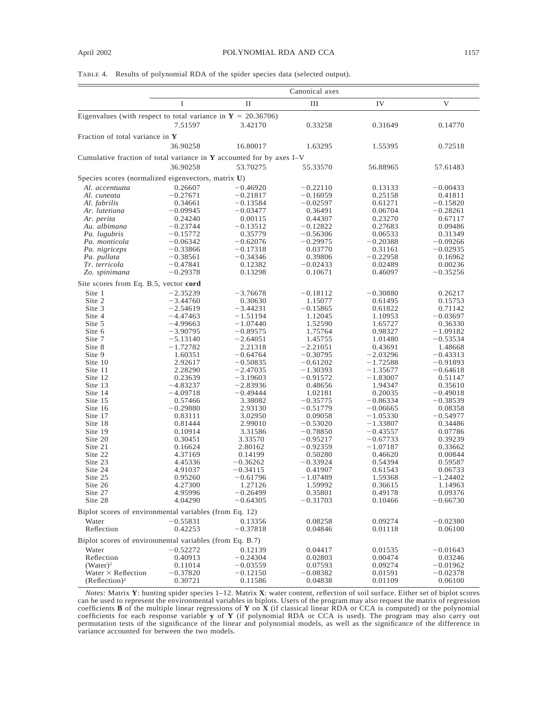TABLE 4. Results of polynomial RDA of the spider species data (selected output).

|                                                                             |                    |                          | Canonical axes           |                          |                          |
|-----------------------------------------------------------------------------|--------------------|--------------------------|--------------------------|--------------------------|--------------------------|
|                                                                             | I                  | $\mathbf{I}$             | Ш                        | IV                       | V                        |
| Eigenvalues (with respect to total variance in $Y = 20.36706$ )             |                    |                          |                          |                          |                          |
|                                                                             | 7.51597            | 3.42170                  | 0.33258                  | 0.31649                  | 0.14770                  |
| Fraction of total variance in $Y$                                           |                    |                          |                          |                          |                          |
|                                                                             | 36.90258           | 16.80017                 | 1.63295                  | 1.55395                  | 0.72518                  |
| Cumulative fraction of total variance in $\bf{Y}$ accounted for by axes I-V |                    |                          |                          |                          |                          |
|                                                                             | 36.90258           | 53.70275                 | 55.33570                 | 56.88965                 | 57.61483                 |
| Species scores (normalized eigenvectors, matrix U)                          |                    |                          |                          |                          |                          |
| Al. accentuata                                                              | 0.26607            | $-0.46920$               | $-0.22110$               | 0.13133                  | $-0.00433$               |
| Al. cuneata                                                                 | $-0.27671$         | $-0.21817$               | $-0.16059$               | 0.25158                  | 0.41811                  |
| Al. fabrilis                                                                | 0.34661            | $-0.13584$               | $-0.02597$               | 0.61271                  | $-0.15820$               |
| Ar. lutetiana                                                               | $-0.09945$         | $-0.03477$               | 0.36491                  | 0.06704                  | $-0.28261$               |
| Ar. perita                                                                  | 0.24240            | 0.00115                  | 0.44307                  | 0.23270                  | 0.67117                  |
| Au. albimana                                                                | $-0.23744$         | $-0.13512$               | $-0.12822$               | 0.27683                  | 0.09486                  |
| Pa. lugubris                                                                | $-0.15772$         | 0.35779                  | $-0.56306$               | 0.06533                  | 0.31349                  |
| Pa. monticola                                                               | $-0.06342$         | $-0.62076$               | $-0.29975$               | $-0.20388$               | $-0.09266$               |
| Pa. nigriceps                                                               | $-0.33866$         | $-0.17318$               | 0.03770                  | 0.31161                  | $-0.02935$               |
| Pa. pullata                                                                 | $-0.38561$         | $-0.34346$               | 0.39806                  | $-0.22958$               | 0.16962                  |
| Tr. terricola                                                               | $-0.47841$         | 0.12382                  | $-0.02433$               | 0.02489                  | 0.00236                  |
| Zo. spinimana                                                               | $-0.29378$         | 0.13298                  | 0.10671                  | 0.46097                  | $-0.35256$               |
| Site scores from Eq. B.5, vector cord                                       |                    |                          |                          |                          |                          |
| Site 1                                                                      | $-2.35239$         | $-3.76678$               | $-0.18112$               | $-0.30880$               | 0.26217                  |
| Site 2                                                                      | $-3.44760$         | 0.30630                  | 1.15077                  | 0.61495                  | 0.15753                  |
| Site 3                                                                      | $-2.54619$         | $-3.44231$               | $-0.15865$               | 0.61822                  | 0.71142                  |
| Site 4                                                                      | $-4.47463$         | $-1.51194$               | 1.12045                  | 1.10953                  | $-0.03697$               |
| Site 5                                                                      | $-4.99663$         | $-1.07440$               | 1.52590                  | 1.65727                  | 0.36330                  |
| Site 6                                                                      | $-3.90795$         | $-0.89575$               | 1.75764                  | 0.98327                  | $-1.09182$               |
| Site 7                                                                      | $-5.13140$         | $-2.64051$               | 1.45755                  | 1.01480                  | $-0.53534$               |
| Site 8                                                                      | $-1.72782$         | 2.21318                  | $-2.21051$               | 0.43691                  | 1.48668                  |
| Site 9<br>Site 10                                                           | 1.60351            | $-0.64764$               | $-0.30795$               | $-2.03296$               | $-0.43313$               |
| Site 11                                                                     | 2.92617<br>2.28290 | $-0.50835$<br>$-2.47035$ | $-0.61202$<br>$-1.30393$ | $-1.72588$<br>$-1.35677$ | $-0.91893$<br>$-0.64618$ |
| Site 12                                                                     | 0.23639            | $-3.19603$               | $-0.91572$               | $-1.83007$               | 0.51147                  |
| Site 13                                                                     | $-4.83237$         | $-2.83936$               | 0.48656                  | 1.94347                  | 0.35610                  |
| Site 14                                                                     | $-4.09718$         | $-0.49444$               | 1.02181                  | 0.20035                  | $-0.49018$               |
| Site 15                                                                     | 0.57466            | 3.38082                  | $-0.35775$               | $-0.86334$               | $-0.38539$               |
| Site 16                                                                     | $-0.29880$         | 2.93130                  | $-0.51779$               | $-0.06665$               | 0.08358                  |
| Site 17                                                                     | 0.83111            | 3.02950                  | 0.09058                  | $-1.05330$               | $-0.54977$               |
| Site 18                                                                     | 0.81444            | 2.99010                  | $-0.53020$               | $-1.33807$               | 0.34486                  |
| Site 19                                                                     | 0.10914            | 3.31586                  | $-0.78850$               | $-0.43557$               | 0.07786                  |
| Site 20                                                                     | 0.30451            | 3.33570                  | $-0.95217$               | $-0.67733$               | 0.39239                  |
| Site 21                                                                     | 0.16624            | 2.80162                  | $-0.92359$               | $-1.07187$               | 0.33662                  |
| Site 22                                                                     | 4.37169            | 0.14199                  | 0.50280                  | 0.46620                  | 0.00844                  |
| Site 23                                                                     | 4.45336            | $-0.36262$               | $-0.33924$               | 0.54394                  | 0.59587                  |
| Site 24                                                                     | 4.91037            | $-0.34115$               | 0.41907                  | 0.61543                  | 0.06733                  |
| Site 25                                                                     | 0.95260            | $-0.61796$               | $-1.07489$               | 1.59368                  | $-1.24402$               |
| Site 26                                                                     | 4.27300            | 1.27126                  | 1.59992                  | 0.36615                  | 1.14963                  |
| Site $27$                                                                   | 4.95996            | $-0.26499$               | 0.35801                  | 0.49178                  | 0.09376                  |
| Site 28                                                                     | 4.04290            | $-0.64305$               | $-0.31703$               | 0.10466                  | $-0.66730$               |
| Biplot scores of environmental variables (from Eq. 12)                      |                    |                          |                          |                          |                          |
| Water                                                                       | $-0.55831$         | 0.13356                  | 0.08258                  | 0.09274                  | $-0.02380$               |
| Reflection                                                                  | 0.42253            | $-0.37818$               | 0.04846                  | 0.01118                  | 0.06100                  |
| Biplot scores of environmental variables (from Eq. B.7)                     |                    |                          |                          |                          |                          |
| Water                                                                       | $-0.52272$         | 0.12139                  | 0.04417                  | 0.01535                  | $-0.01643$               |
| Reflection                                                                  | 0.40913            | $-0.24304$               | 0.02803                  | 0.00474                  | 0.03246                  |
| $(Water)^2$                                                                 | 0.11014            | $-0.03559$               | 0.07593                  | 0.09274                  | $-0.01962$               |
| Water $\times$ Reflection                                                   | $-0.37820$         | $-0.12150$               | $-0.08382$               | 0.01591                  | $-0.02378$               |
| (Reflection) <sup>2</sup>                                                   | 0.30721            | 0.11586                  | 0.04838                  | 0.01109                  | 0.06100                  |

*Notes:* Matrix **Y**: hunting spider species 1–12. Matrix **X**: water content, reflection of soil surface. Either set of biplot scores can be used to represent the environmental variables in biplots. Users of the program may also request the matrix of regression coefficients **B** of the multiple linear regressions of **Y** on **X** (if classical linear RDA or CCA is computed) or the polynomial coefficients for each response variable **y** of **Y** (if polynomial RDA or CCA is used). The program may also carry out permutation tests of the significance of the linear and polynomial models, as well as the significance of the difference in variance accounted for between the two models.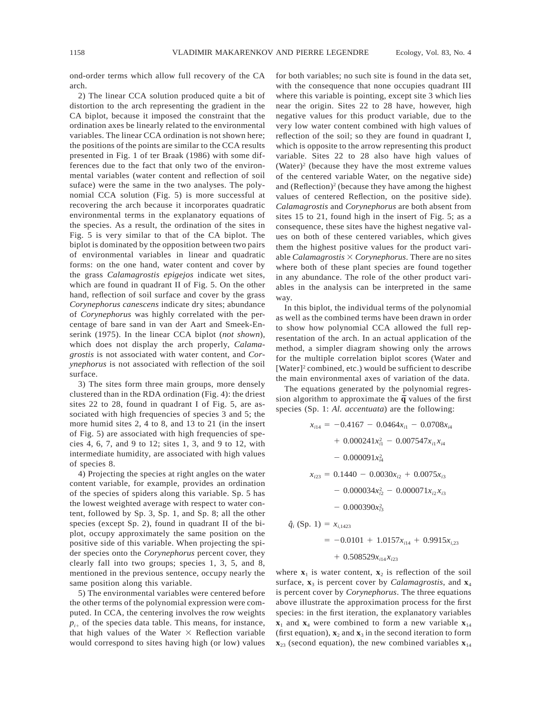ond-order terms which allow full recovery of the CA arch.

2) The linear CCA solution produced quite a bit of distortion to the arch representing the gradient in the CA biplot, because it imposed the constraint that the ordination axes be linearly related to the environmental variables. The linear CCA ordination is not shown here; the positions of the points are similar to the CCA results presented in Fig. 1 of ter Braak (1986) with some differences due to the fact that only two of the environmental variables (water content and reflection of soil suface) were the same in the two analyses. The polynomial CCA solution (Fig. 5) is more successful at recovering the arch because it incorporates quadratic environmental terms in the explanatory equations of the species. As a result, the ordination of the sites in Fig. 5 is very similar to that of the CA biplot. The biplot is dominated by the opposition between two pairs of environmental variables in linear and quadratic forms: on the one hand, water content and cover by the grass *Calamagrostis epigejos* indicate wet sites, which are found in quadrant II of Fig. 5. On the other hand, reflection of soil surface and cover by the grass *Corynephorus canescens* indicate dry sites; abundance of *Corynephorus* was highly correlated with the percentage of bare sand in van der Aart and Smeek-Enserink (1975). In the linear CCA biplot (*not shown*), which does not display the arch properly, *Calamagrostis* is not associated with water content, and *Corynephorus* is not associated with reflection of the soil surface.

3) The sites form three main groups, more densely clustered than in the RDA ordination (Fig. 4): the driest sites 22 to 28, found in quadrant I of Fig. 5, are associated with high frequencies of species 3 and 5; the more humid sites 2, 4 to 8, and 13 to 21 (in the insert of Fig. 5) are associated with high frequencies of species 4, 6, 7, and 9 to 12; sites 1, 3, and 9 to 12, with intermediate humidity, are associated with high values of species 8.

4) Projecting the species at right angles on the water content variable, for example, provides an ordination of the species of spiders along this variable. Sp. 5 has the lowest weighted average with respect to water content, followed by Sp. 3, Sp. 1, and Sp. 8; all the other species (except Sp. 2), found in quadrant II of the biplot, occupy approximately the same position on the positive side of this variable. When projecting the spider species onto the *Corynephorus* percent cover, they clearly fall into two groups; species 1, 3, 5, and 8, mentioned in the previous sentence, occupy nearly the same position along this variable.

5) The environmental variables were centered before the other terms of the polynomial expression were computed. In CCA, the centering involves the row weights  $p_{i+}$  of the species data table. This means, for instance, that high values of the Water  $\times$  Reflection variable would correspond to sites having high (or low) values for both variables; no such site is found in the data set, with the consequence that none occupies quadrant III where this variable is pointing, except site 3 which lies near the origin. Sites 22 to 28 have, however, high negative values for this product variable, due to the very low water content combined with high values of reflection of the soil; so they are found in quadrant I, which is opposite to the arrow representing this product variable. Sites 22 to 28 also have high values of  $(Water)^2$  (because they have the most extreme values of the centered variable Water, on the negative side) and  $(Reflection)^2$  (because they have among the highest values of centered Reflection, on the positive side). *Calamagrostis* and *Corynephorus* are both absent from sites 15 to 21, found high in the insert of Fig. 5; as a consequence, these sites have the highest negative values on both of these centered variables, which gives them the highest positive values for the product variable *Calamagrostis*  $\times$  *Corynephorus*. There are no sites where both of these plant species are found together in any abundance. The role of the other product variables in the analysis can be interpreted in the same way.

In this biplot, the individual terms of the polynomial as well as the combined terms have been drawn in order to show how polynomial CCA allowed the full representation of the arch. In an actual application of the method, a simpler diagram showing only the arrows for the multiple correlation biplot scores (Water and [Water]<sup>2</sup> combined, etc.) would be sufficient to describe the main environmental axes of variation of the data.

The equations generated by the polynomial regression algorithm to approximate the  $\bar{q}$  values of the first species (Sp. 1: *Al. accentuata*) are the following:

$$
x_{i14} = -0.4167 - 0.0464x_{i1} - 0.0708x_{i4}
$$
  
+ 0.000241x<sub>i1</sub><sup>2</sup> - 0.007547x<sub>i1</sub>x<sub>i4</sub>  
- 0.000091x<sub>i4</sub><sup>2</sup>  

$$
x_{i23} = 0.1440 - 0.0030x_{i2} + 0.0075x_{i3}
$$
  
- 0.000034x<sub>i2</sub><sup>2</sup> - 0.000071x<sub>i2</sub>x<sub>i3</sub>  
- 0.000390x<sub>i3</sub><sup>2</sup>  

$$
\hat{q}_i \text{ (Sp. 1)} = x_{i,1423}
$$

$$
P_{i} = -0.0101 + 1.0157x_{i14} + 0.9915x_{i23}
$$
  
+ 0.508529x<sub>i14</sub>x<sub>i23</sub>

where  $\mathbf{x}_1$  is water content,  $\mathbf{x}_2$  is reflection of the soil surface,  $\mathbf{x}_3$  is percent cover by *Calamagrostis*, and  $\mathbf{x}_4$ is percent cover by *Corynephorus*. The three equations above illustrate the approximation process for the first species: in the first iteration, the explanatory variables  $\mathbf{x}_1$  and  $\mathbf{x}_4$  were combined to form a new variable  $\mathbf{x}_{14}$ (first equation),  $\mathbf{x}_2$  and  $\mathbf{x}_3$  in the second iteration to form  $\mathbf{x}_{23}$  (second equation), the new combined variables  $\mathbf{x}_{14}$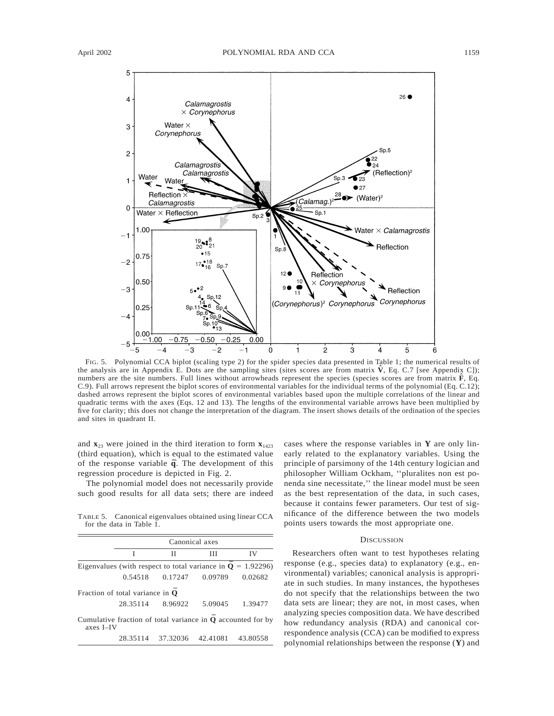

FIG. 5. Polynomial CCA biplot (scaling type 2) for the spider species data presented in Table 1; the numerical results of the analysis are in Appendix E. Dots are the sampling sites (sites scores are from matrix  $\hat{V}$ , Eq. C.7 [see Appendix C]); numbers are the site numbers. Full lines without arrowheads represent the species (species scores are from matrix **Fˆ**, Eq. C.9). Full arrows represent the biplot scores of environmental variables for the individual terms of the polynomial (Eq. C.12); dashed arrows represent the biplot scores of environmental variables based upon the multiple correlations of the linear and quadratic terms with the axes (Eqs. 12 and 13). The lengths of the environmental variable arrows have been multiplied by five for clarity; this does not change the interpretation of the diagram. The insert shows details of the ordination of the species and sites in quadrant II.

and  $\mathbf{x}_{23}$  were joined in the third iteration to form  $\mathbf{x}_{1423}$ (third equation), which is equal to the estimated value of the response variable  $\bar{q}$ . The development of this regression procedure is depicted in Fig. 2.

The polynomial model does not necessarily provide such good results for all data sets; there are indeed

TABLE 5. Canonical eigenvalues obtained using linear CCA for the data in Table 1.

|           | Canonical axes                  |                   |          |                                                                          |  |  |  |
|-----------|---------------------------------|-------------------|----------|--------------------------------------------------------------------------|--|--|--|
|           | T                               | Н                 | Ш        | IV                                                                       |  |  |  |
|           |                                 |                   |          | Eigenvalues (with respect to total variance in $\bar{Q} = 1.92296$ )     |  |  |  |
|           | 0.54518                         | 0.17247           | 0.09789  | 0.02682                                                                  |  |  |  |
|           | Fraction of total variance in O |                   |          |                                                                          |  |  |  |
|           | 28.35114                        | 8.96922           |          | 5.09045 1.39477                                                          |  |  |  |
| axes I-IV |                                 |                   |          | Cumulative fraction of total variance in $\overline{Q}$ accounted for by |  |  |  |
|           |                                 | 28.35114 37.32036 | 42.41081 | 43.80558                                                                 |  |  |  |

cases where the response variables in **Y** are only linearly related to the explanatory variables. Using the principle of parsimony of the 14th century logician and philosopher William Ockham, ''pluralites non est ponenda sine necessitate,'' the linear model must be seen as the best representation of the data, in such cases, because it contains fewer parameters. Our test of significance of the difference between the two models points users towards the most appropriate one.

#### **DISCUSSION**

Researchers often want to test hypotheses relating response (e.g., species data) to explanatory (e.g., environmental) variables; canonical analysis is appropriate in such studies. In many instances, the hypotheses do not specify that the relationships between the two data sets are linear; they are not, in most cases, when analyzing species composition data. We have described how redundancy analysis (RDA) and canonical correspondence analysis (CCA) can be modified to express polynomial relationships between the response (**Y**) and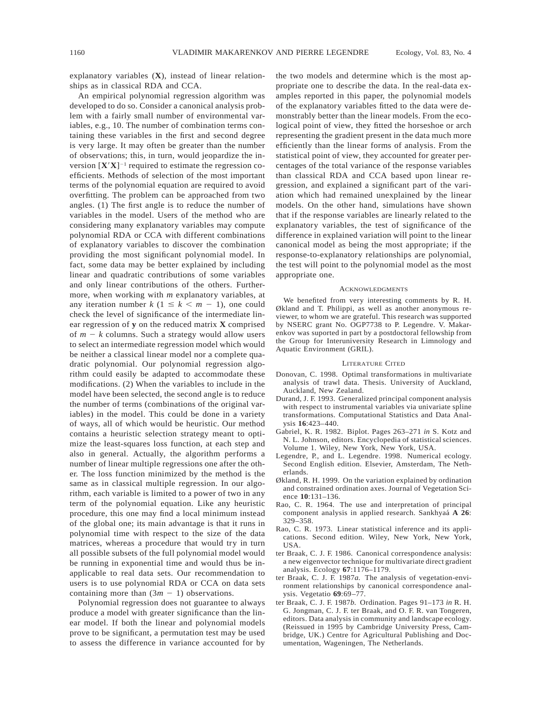explanatory variables (**X**), instead of linear relationships as in classical RDA and CCA.

An empirical polynomial regression algorithm was developed to do so. Consider a canonical analysis problem with a fairly small number of environmental variables, e.g., 10. The number of combination terms containing these variables in the first and second degree is very large. It may often be greater than the number of observations; this, in turn, would jeopardize the inversion  $[X'X]^{-1}$  required to estimate the regression coefficients. Methods of selection of the most important terms of the polynomial equation are required to avoid overfitting. The problem can be approached from two angles. (1) The first angle is to reduce the number of variables in the model. Users of the method who are considering many explanatory variables may compute polynomial RDA or CCA with different combinations of explanatory variables to discover the combination providing the most significant polynomial model. In fact, some data may be better explained by including linear and quadratic contributions of some variables and only linear contributions of the others. Furthermore, when working with *m* explanatory variables, at any iteration number  $k$  ( $1 \leq k \leq m - 1$ ), one could check the level of significance of the intermediate linear regression of **y** on the reduced matrix **X** comprised of  $m - k$  columns. Such a strategy would allow users to select an intermediate regression model which would be neither a classical linear model nor a complete quadratic polynomial. Our polynomial regression algorithm could easily be adapted to accommodate these modifications. (2) When the variables to include in the model have been selected, the second angle is to reduce the number of terms (combinations of the original variables) in the model. This could be done in a variety of ways, all of which would be heuristic. Our method contains a heuristic selection strategy meant to optimize the least-squares loss function, at each step and also in general. Actually, the algorithm performs a number of linear multiple regressions one after the other. The loss function minimized by the method is the same as in classical multiple regression. In our algorithm, each variable is limited to a power of two in any term of the polynomial equation. Like any heuristic procedure, this one may find a local minimum instead of the global one; its main advantage is that it runs in polynomial time with respect to the size of the data matrices, whereas a procedure that would try in turn all possible subsets of the full polynomial model would be running in exponential time and would thus be inapplicable to real data sets. Our recommendation to users is to use polynomial RDA or CCA on data sets containing more than  $(3m - 1)$  observations.

Polynomial regression does not guarantee to always produce a model with greater significance than the linear model. If both the linear and polynomial models prove to be significant, a permutation test may be used to assess the difference in variance accounted for by the two models and determine which is the most appropriate one to describe the data. In the real-data examples reported in this paper, the polynomial models of the explanatory variables fitted to the data were demonstrably better than the linear models. From the ecological point of view, they fitted the horseshoe or arch representing the gradient present in the data much more efficiently than the linear forms of analysis. From the statistical point of view, they accounted for greater percentages of the total variance of the response variables than classical RDA and CCA based upon linear regression, and explained a significant part of the variation which had remained unexplained by the linear models. On the other hand, simulations have shown that if the response variables are linearly related to the explanatory variables, the test of significance of the difference in explained variation will point to the linear canonical model as being the most appropriate; if the response-to-explanatory relationships are polynomial, the test will point to the polynomial model as the most appropriate one.

#### **ACKNOWLEDGMENTS**

We benefited from very interesting comments by R. H. Økland and T. Philippi, as well as another anonymous reviewer, to whom we are grateful. This research was supported by NSERC grant No. OGP7738 to P. Legendre. V. Makarenkov was suported in part by a postdoctoral fellowship from the Group for Interuniversity Research in Limnology and Aquatic Environment (GRIL).

#### LITERATURE CITED

- Donovan, C. 1998. Optimal transformations in multivariate analysis of trawl data. Thesis. University of Auckland, Auckland, New Zealand.
- Durand, J. F. 1993. Generalized principal component analysis with respect to instrumental variables via univariate spline transformations. Computational Statistics and Data Analysis **16**:423–440.
- Gabriel, K. R. 1982. Biplot. Pages 263–271 *in* S. Kotz and N. L. Johnson, editors. Encyclopedia of statistical sciences. Volume 1. Wiley, New York, New York, USA.
- Legendre, P., and L. Legendre. 1998. Numerical ecology. Second English edition. Elsevier, Amsterdam, The Netherlands.
- Økland, R. H. 1999. On the variation explained by ordination and constrained ordination axes. Journal of Vegetation Science **10**:131–136.
- Rao, C. R. 1964. The use and interpretation of principal component analysis in applied research. Sankhyaa´ **A 26**: 329–358.
- Rao, C. R. 1973. Linear statistical inference and its applications. Second edition. Wiley, New York, New York, USA.
- ter Braak, C. J. F. 1986. Canonical correspondence analysis: a new eigenvector technique for multivariate direct gradient analysis. Ecology **67**:1176–1179.
- ter Braak, C. J. F. 1987*a.* The analysis of vegetation-environment relationships by canonical correspondence analysis. Vegetatio **69**:69–77.
- ter Braak, C. J. F. 1987*b.* Ordination. Pages 91–173 *in* R. H. G. Jongman, C. J. F. ter Braak, and O. F. R. van Tongeren, editors. Data analysis in community and landscape ecology. (Reissued in 1995 by Cambridge University Press, Cambridge, UK.) Centre for Agricultural Publishing and Documentation, Wageningen, The Netherlands.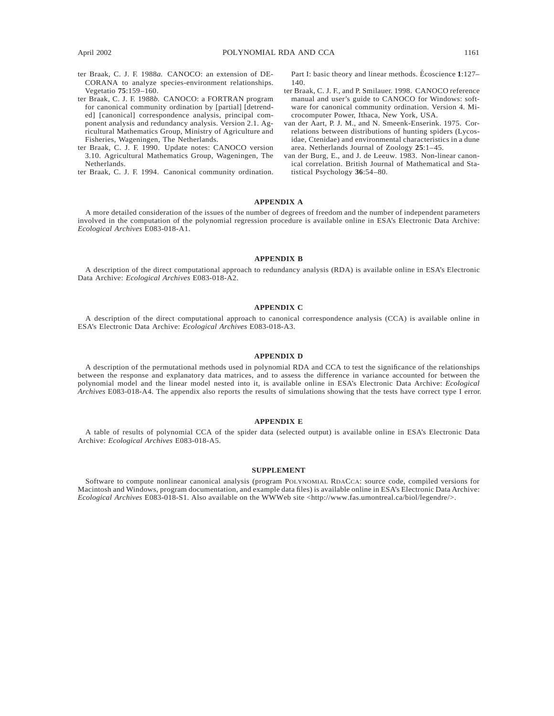- ter Braak, C. J. F. 1988*a.* CANOCO: an extension of DE-CORANA to analyze species-environment relationships. Vegetatio **75**:159–160.
- ter Braak, C. J. F. 1988*b.* CANOCO: a FORTRAN program for canonical community ordination by [partial] [detrended] [canonical] correspondence analysis, principal component analysis and redundancy analysis. Version 2.1. Agricultural Mathematics Group, Ministry of Agriculture and Fisheries, Wageningen, The Netherlands.
- ter Braak, C. J. F. 1990. Update notes: CANOCO version 3.10. Agricultural Mathematics Group, Wageningen, The Netherlands.
- ter Braak, C. J. F. 1994. Canonical community ordination.

Part I: basic theory and linear methods. Écoscience 1:127– 140.

- ter Braak, C. J. F., and P. Smilauer. 1998. CANOCO reference manual and user's guide to CANOCO for Windows: software for canonical community ordination. Version 4. Microcomputer Power, Ithaca, New York, USA.
- van der Aart, P. J. M., and N. Smeenk-Enserink. 1975. Correlations between distributions of hunting spiders (Lycosidae, Ctenidae) and environmental characteristics in a dune area. Netherlands Journal of Zoology **25**:1–45.
- van der Burg, E., and J. de Leeuw. 1983. Non-linear canonical correlation. British Journal of Mathematical and Statistical Psychology **36**:54–80.

#### **APPENDIX A**

A more detailed consideration of the issues of the number of degrees of freedom and the number of independent parameters involved in the computation of the polynomial regression procedure is available online in ESA's Electronic Data Archive: *Ecological Archives* E083-018-A1.

#### **APPENDIX B**

A description of the direct computational approach to redundancy analysis (RDA) is available online in ESA's Electronic Data Archive: *Ecological Archives* E083-018-A2.

#### **APPENDIX C**

A description of the direct computational approach to canonical correspondence analysis (CCA) is available online in ESA's Electronic Data Archive: *Ecological Archives* E083-018-A3.

#### **APPENDIX D**

A description of the permutational methods used in polynomial RDA and CCA to test the significance of the relationships between the response and explanatory data matrices, and to assess the difference in variance accounted for between the polynomial model and the linear model nested into it, is available online in ESA's Electronic Data Archive: *Ecological Archives* E083-018-A4. The appendix also reports the results of simulations showing that the tests have correct type I error.

#### **APPENDIX E**

A table of results of polynomial CCA of the spider data (selected output) is available online in ESA's Electronic Data Archive: *Ecological Archives* E083-018-A5.

#### **SUPPLEMENT**

Software to compute nonlinear canonical analysis (program POLYNOMIAL RDACCA: source code, compiled versions for Macintosh and Windows, program documentation, and example data files) is available online in ESA's Electronic Data Archive: *Ecological Archives* E083-018-S1. Also available on the WWWeb site <http://www.fas.umontreal.ca/biol/legendre/>.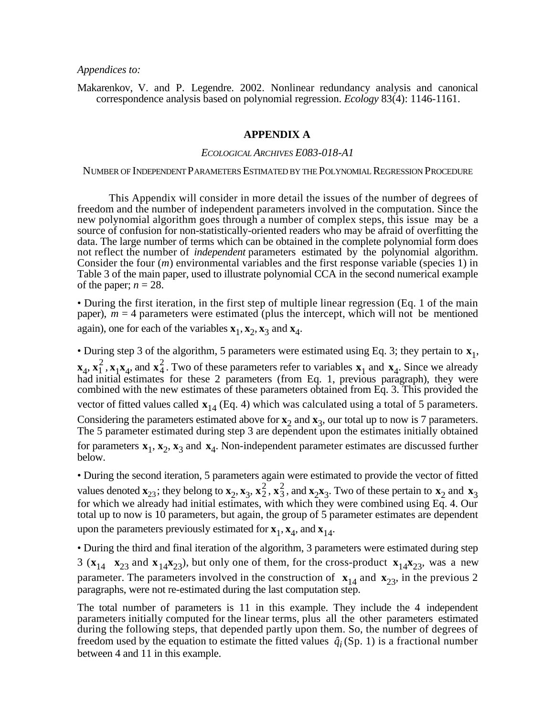## *Appendices to:*

Makarenkov, V. and P. Legendre. 2002. Nonlinear redundancy analysis and canonical correspondence analysis based on polynomial regression. *Ecology* 83(4): 1146-1161.

## **APPENDIX A**

### *ECOLOGICAL ARCHIVES E083-018-A1*

NUMBER OF INDEPENDENT PARAMETERS ESTIMATED BY THE POLYNOMIAL REGRESSION PROCEDURE

This Appendix will consider in more detail the issues of the number of degrees of freedom and the number of independent parameters involved in the computation. Since the new polynomial algorithm goes through a number of complex steps, this issue may be a source of confusion for non-statistically-oriented readers who may be afraid of overfitting the data. The large number of terms which can be obtained in the complete polynomial form does not reflect the number of *independent* parameters estimated by the polynomial algorithm. Consider the four (*m*) environmental variables and the first response variable (species 1) in Table 3 of the main paper, used to illustrate polynomial CCA in the second numerical example of the paper;  $n = 28$ .

• During the first iteration, in the first step of multiple linear regression (Eq. 1 of the main paper),  $m = 4$  parameters were estimated (plus the intercept, which will not be mentioned again), one for each of the variables  $\mathbf{x}_1, \mathbf{x}_2, \mathbf{x}_3$  and  $\mathbf{x}_4$ .

• During step 3 of the algorithm, 5 parameters were estimated using Eq. 3; they pertain to  $\mathbf{x}_1$ ,  $\mathbf{x}_4, \mathbf{x}_1^2, \mathbf{x}_1 \mathbf{x}_4$ , and  $\mathbf{x}_4^2$ . Two of these parameters refer to variables  $\mathbf{x}_1$  and  $\mathbf{x}_4$ . Since we already had initial estimates for these 2 parameters (from Eq. 1, previous paragraph), they were combined with the new estimates of these parameters obtained from Eq. 3. This provided the vector of fitted values called  $\mathbf{x}_{14}$  (Eq. 4) which was calculated using a total of 5 parameters.

Considering the parameters estimated above for  $\mathbf{x}_2$  and  $\mathbf{x}_3$ , our total up to now is 7 parameters. The 5 parameter estimated during step 3 are dependent upon the estimates initially obtained for parameters  $\mathbf{x}_1, \mathbf{x}_2, \mathbf{x}_3$  and  $\mathbf{x}_4$ . Non-independent parameter estimates are discussed further below.

• During the second iteration, 5 parameters again were estimated to provide the vector of fitted values denoted  $\mathbf{x}_{23}$ ; they belong to  $\mathbf{x}_2$ ,  $\mathbf{x}_3$ ,  $\mathbf{x}_2^2$ ,  $\mathbf{x}_3^2$ , and  $\mathbf{x}_2\mathbf{x}_3$ . Two of these pertain to  $\mathbf{x}_2$  and  $\mathbf{x}_3$ for which we already had initial estimates, with which they were combined using Eq. 4. Our total up to now is 10 parameters, but again, the group of 5 parameter estimates are dependent upon the parameters previously estimated for  $\mathbf{x}_1, \mathbf{x}_4$ , and  $\mathbf{x}_{14}$ .

• During the third and final iteration of the algorithm, 3 parameters were estimated during step 3 ( $\mathbf{x}_{14}$   $\mathbf{x}_{23}$  and  $\mathbf{x}_{14}\mathbf{x}_{23}$ ), but only one of them, for the cross-product  $\mathbf{x}_{14}\mathbf{x}_{23}$ , was a new parameter. The parameters involved in the construction of  $\mathbf{x}_{14}$  and  $\mathbf{x}_{23}$ , in the previous 2 paragraphs, were not re-estimated during the last computation step.

The total number of parameters is 11 in this example. They include the 4 independent parameters initially computed for the linear terms, plus all the other parameters estimated during the following steps, that depended partly upon them. So, the number of degrees of freedom used by the equation to estimate the fitted values  $\hat{q}_i$  (Sp. 1) is a fractional number between 4 and 11 in this example.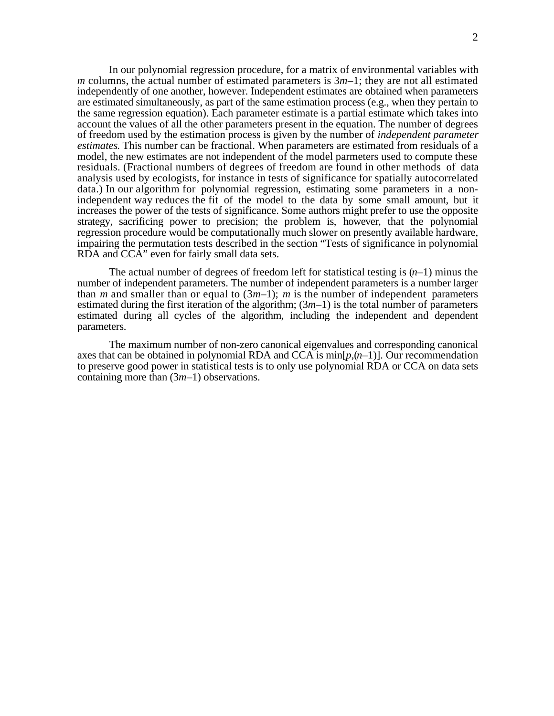In our polynomial regression procedure, for a matrix of environmental variables with *m* columns, the actual number of estimated parameters is 3*m*–1; they are not all estimated independently of one another, however. Independent estimates are obtained when parameters are estimated simultaneously, as part of the same estimation process (e.g., when they pertain to the same regression equation). Each parameter estimate is a partial estimate which takes into account the values of all the other parameters present in the equation. The number of degrees of freedom used by the estimation process is given by the number of *independent parameter estimates*. This number can be fractional. When parameters are estimated from residuals of a model, the new estimates are not independent of the model parmeters used to compute these residuals. (Fractional numbers of degrees of freedom are found in other methods of data analysis used by ecologists, for instance in tests of significance for spatially autocorrelated data.) In our algorithm for polynomial regression, estimating some parameters in a nonindependent way reduces the fit of the model to the data by some small amount, but it increases the power of the tests of significance. Some authors might prefer to use the opposite strategy, sacrificing power to precision; the problem is, however, that the polynomial regression procedure would be computationally much slower on presently available hardware, impairing the permutation tests described in the section "Tests of significance in polynomial RDA and CCA" even for fairly small data sets.

The actual number of degrees of freedom left for statistical testing is (*n*–1) minus the number of independent parameters. The number of independent parameters is a number larger than *m* and smaller than or equal to  $(3m-1)$ ; *m* is the number of independent parameters estimated during the first iteration of the algorithm; (3*m*–1) is the total number of parameters estimated during all cycles of the algorithm, including the independent and dependent parameters.

The maximum number of non-zero canonical eigenvalues and corresponding canonical axes that can be obtained in polynomial RDA and CCA is min[*p*,(*n*–1)]. Our recommendation to preserve good power in statistical tests is to only use polynomial RDA or CCA on data sets containing more than (3*m*–1) observations.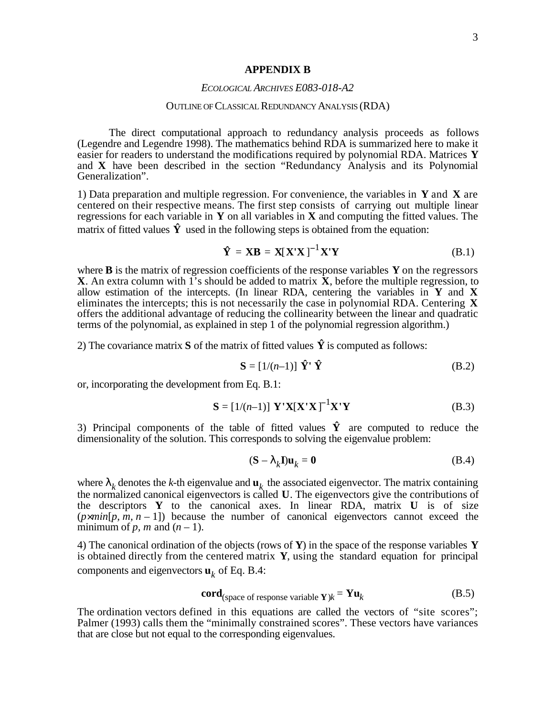## **APPENDIX B**

#### *ECOLOGICAL ARCHIVES E083-018-A2*

## OUTLINE OF CLASSICAL REDUNDANCY ANALYSIS (RDA)

The direct computational approach to redundancy analysis proceeds as follows (Legendre and Legendre 1998). The mathematics behind RDA is summarized here to make it easier for readers to understand the modifications required by polynomial RDA. Matrices **Y** and **X** have been described in the section "Redundancy Analysis and its Polynomial Generalization".

1) Data preparation and multiple regression. For convenience, the variables in **Y** and **X** are centered on their respective means. The first step consists of carrying out multiple linear regressions for each variable in **Y** on all variables in **X** and computing the fitted values. The matrix of fitted values  $\hat{Y}$  used in the following steps is obtained from the equation:

$$
\hat{\mathbf{Y}} = \mathbf{X}\mathbf{B} = \mathbf{X}[\mathbf{X}'\mathbf{X}]^{-1}\mathbf{X}'\mathbf{Y}
$$
 (B.1)

where **B** is the matrix of regression coefficients of the response variables **Y** on the regressors **X**. An extra column with 1's should be added to matrix  $\hat{\mathbf{X}}$ , before the multiple regression, to allow estimation of the intercepts. (In linear RDA, centering the variables in  $\bf{Y}$  and  $\bf{X}$ eliminates the intercepts; this is not necessarily the case in polynomial RDA. Centering **X** offers the additional advantage of reducing the collinearity between the linear and quadratic terms of the polynomial, as explained in step 1 of the polynomial regression algorithm.)

2) The covariance matrix S of the matrix of fitted values  $\hat{Y}$  is computed as follows:

$$
\mathbf{S} = [1/(n-1)] \mathbf{\hat{Y}}' \mathbf{\hat{Y}}
$$
 (B.2)

or, incorporating the development from Eq. B.1:

$$
\mathbf{S} = [1/(n-1)] \mathbf{Y}' \mathbf{X} [\mathbf{X}' \mathbf{X}]^{-1} \mathbf{X}' \mathbf{Y}
$$
(B.3)

3) Principal components of the table of fitted values  $\hat{Y}$  are computed to reduce the dimensionality of the solution. This corresponds to solving the eigenvalue problem:

$$
(\mathbf{S} - \ _{k}\mathbf{D}\mathbf{u}_{k} = \mathbf{0} \tag{B.4}
$$

where  $k$  denotes the *k*-th eigenvalue and  $\mathbf{u}_k$  the associated eigenvector. The matrix containing the normalized canonical eigenvectors is called **U**. The eigenvectors give the contributions of the descriptors **Y** to the canonical axes. In linear RDA, matrix **U** is of size  $(p \times min[p, m, n - 1])$  because the number of canonical eigenvectors cannot exceed the minimum of *p*, *m* and  $(n - 1)$ .

4) The canonical ordination of the objects (rows of **Y**) in the space of the response variables **Y** is obtained directly from the centered matrix **Y**, using the standard equation for principal components and eigenvectors  $\mathbf{u}_k$  of Eq. B.4:

$$
\mathbf{cord}_{(\text{space of response variable } \mathbf{Y})k} = \mathbf{Yu}_k \tag{B.5}
$$

The ordination vectors defined in this equations are called the vectors of "site scores"; Palmer (1993) calls them the "minimally constrained scores". These vectors have variances that are close but not equal to the corresponding eigenvalues.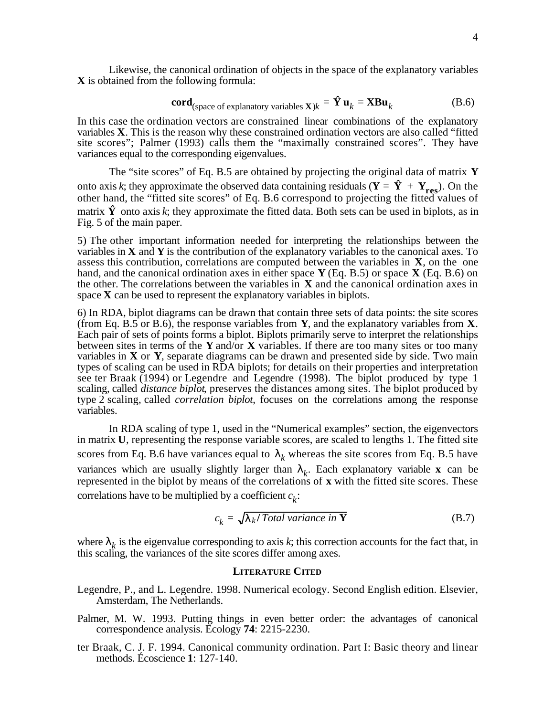Likewise, the canonical ordination of objects in the space of the explanatory variables **X** is obtained from the following formula:

$$
\mathbf{cord}_{(\text{space of explanatory variables }\mathbf{X})k} = \mathbf{\hat{Y}} \mathbf{u}_k = \mathbf{X} \mathbf{B} \mathbf{u}_k \tag{B.6}
$$

In this case the ordination vectors are constrained linear combinations of the explanatory variables **X**. This is the reason why these constrained ordination vectors are also called "fitted site scores"; Palmer (1993) calls them the "maximally constrained scores". They have variances equal to the corresponding eigenvalues.

The "site scores" of Eq. B.5 are obtained by projecting the original data of matrix **Y** onto axis *k*; they approximate the observed data containing residuals ( $Y = \hat{Y} + Y_{res}$ ). On the other hand, the "fitted site scores" of Eq. B.6 correspond to projecting the fitted values of matrix  $\hat{Y}$  onto axis k; they approximate the fitted data. Both sets can be used in biplots, as in Fig. 5 of the main paper.

5) The other important information needed for interpreting the relationships between the variables in **X** and **Y** is the contribution of the explanatory variables to the canonical axes. To assess this contribution, correlations are computed between the variables in **X**, on the one hand, and the canonical ordination axes in either space **Y** (Eq. B.5) or space **X** (Eq. B.6) on the other. The correlations between the variables in **X** and the canonical ordination axes in space  $X$  can be used to represent the explanatory variables in biplots.

6) In RDA, biplot diagrams can be drawn that contain three sets of data points: the site scores (from Eq. B.5 or B.6), the response variables from **Y**, and the explanatory variables from **X**. Each pair of sets of points forms a biplot. Biplots primarily serve to interpret the relationships between sites in terms of the **Y** and/or **X** variables. If there are too many sites or too many variables in **X** or **Y**, separate diagrams can be drawn and presented side by side. Two main types of scaling can be used in RDA biplots; for details on their properties and interpretation see ter Braak (1994) or Legendre and Legendre (1998). The biplot produced by type 1 scaling, called *distance biplot*, preserves the distances among sites. The biplot produced by type 2 scaling, called *correlation biplot*, focuses on the correlations among the response variables.

In RDA scaling of type 1, used in the "Numerical examples" section, the eigenvectors in matrix **U**, representing the response variable scores, are scaled to lengths 1. The fitted site scores from Eq. B.6 have variances equal to  $k$  whereas the site scores from Eq. B.5 have variances which are usually slightly larger than  $k$ . Each explanatory variable **x** can be represented in the biplot by means of the correlations of **x** with the fitted site scores. These correlations have to be multiplied by a coefficient  $c_k$ :

$$
c_k = \sqrt{\frac{k}{Total variance in \mathbf{Y}}}
$$
 (B.7)

where  $\kappa$  is the eigenvalue corresponding to axis *k*; this correction accounts for the fact that, in this scaling, the variances of the site scores differ among axes.

## **LITERATURE CITED**

- Legendre, P., and L. Legendre. 1998. Numerical ecology. Second English edition. Elsevier, Amsterdam, The Netherlands.
- Palmer, M. W. 1993. Putting things in even better order: the advantages of canonical correspondence analysis. Ecology **74**: 2215-2230.
- ter Braak, C. J. F. 1994. Canonical community ordination. Part I: Basic theory and linear methods. Écoscience **1**: 127-140.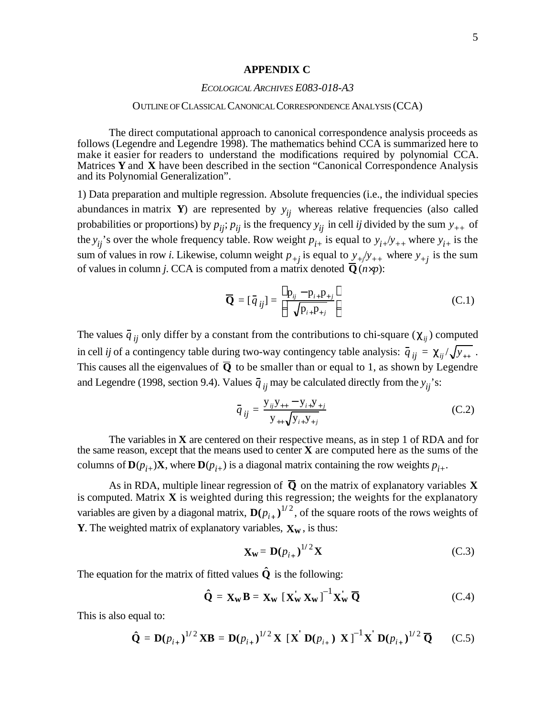## **APPENDIX C**

### *ECOLOGICAL ARCHIVES E083-018-A3*

## OUTLINE OF CLASSICAL CANONICAL CORRESPONDENCE ANALYSIS (CCA)

The direct computational approach to canonical correspondence analysis proceeds as follows (Legendre and Legendre 1998). The mathematics behind CCA is summarized here to make it easier for readers to understand the modifications required by polynomial CCA. Matrices **Y** and **X** have been described in the section "Canonical Correspondence Analysis and its Polynomial Generalization".

1) Data preparation and multiple regression. Absolute frequencies (i.e., the individual species abundances in matrix  $\mathbf{Y}$ ) are represented by  $y_{ij}$  whereas relative frequencies (also called probabilities or proportions) by  $p_{ij}$ ;  $p_{ij}$  is the frequency  $y_{ij}$  in cell *ij* divided by the sum  $y_{++}$  of the  $y_{ij}$ 's over the whole frequency table. Row weight  $p_{i+}$  is equal to  $y_{i+}/y_{++}$  where  $y_{i+}$  is the sum of values in row *i*. Likewise, column weight  $p_{+j}$  is equal to  $y_{+j}/y_{++}$  where  $y_{+j}$  is the sum of values in column *j*. CCA is computed from a matrix denoted  $\overline{Q}(n \times p)$ :

$$
\overline{\mathbf{Q}} = [\overline{q}_{ij}] = \frac{\mathbf{p}_{ij} - \mathbf{p}_{i+1} \mathbf{p}_{+j}}{\sqrt{\mathbf{p}_{i+1} \mathbf{p}_{+j}}} \tag{C.1}
$$

The values  $\bar{q}_{ii}$  only differ by a constant from the contributions to chi-square ( $\bar{q}_{ii}$ ) computed in cell *ij* of a contingency table during two-way contingency table analysis:  $\overline{q}_{ii} = \frac{i}{i} \sqrt{\frac{y_{++}}{y_{++}}}$ . This causes all the eigenvalues of  $\overline{Q}$  to be smaller than or equal to 1, as shown by Legendre and Legendre (1998, section 9.4). Values  $\bar{q}_{ij}$  may be calculated directly from the  $y_{ij}$ 's:

$$
\bar{q}_{ij} = \frac{y_{ij}y_{++} - y_{i+}y_{+j}}{y_{++}\sqrt{y_{i+}y_{+j}}}
$$
(C.2)

The variables in **X** are centered on their respective means, as in step 1 of RDA and for the same reason, except that the means used to center **X** are computed here as the sums of the columns of  $\mathbf{D}(p_{i+})\mathbf{X}$ , where  $\mathbf{D}(p_{i+})$  is a diagonal matrix containing the row weights  $p_{i+}$ .

As in RDA, multiple linear regression of  $\overline{Q}$  on the matrix of explanatory variables **X** is computed. Matrix **X** is weighted during this regression; the weights for the explanatory variables are given by a diagonal matrix,  $D(p_{i+})^{1/2}$ , of the square roots of the rows weights of **Y**. The weighted matrix of explanatory variables,  $\mathbf{X}_w$ , is thus:

$$
\mathbf{X}_{\mathbf{W}} = \mathbf{D}(p_{i+1})^{1/2} \mathbf{X}
$$
 (C.3)

The equation for the matrix of fitted values  $\hat{Q}$  is the following:

$$
\hat{\mathbf{Q}} = \mathbf{X}_{\mathbf{w}} \mathbf{B} = \mathbf{X}_{\mathbf{w}} \left[ \mathbf{X}_{\mathbf{w}}^{\dagger} \mathbf{X}_{\mathbf{w}} \right]^{-1} \mathbf{X}_{\mathbf{w}}^{\dagger} \overline{\mathbf{Q}} \tag{C.4}
$$

This is also equal to:

$$
\hat{\mathbf{Q}} = \mathbf{D}(p_{i+})^{1/2} \mathbf{X} \mathbf{B} = \mathbf{D}(p_{i+})^{1/2} \mathbf{X} \left[ \mathbf{X}^{'} \mathbf{D}(p_{i+}) \mathbf{X} \right]^{-1} \mathbf{X}^{'} \mathbf{D}(p_{i+})^{1/2} \overline{\mathbf{Q}} \qquad (C.5)
$$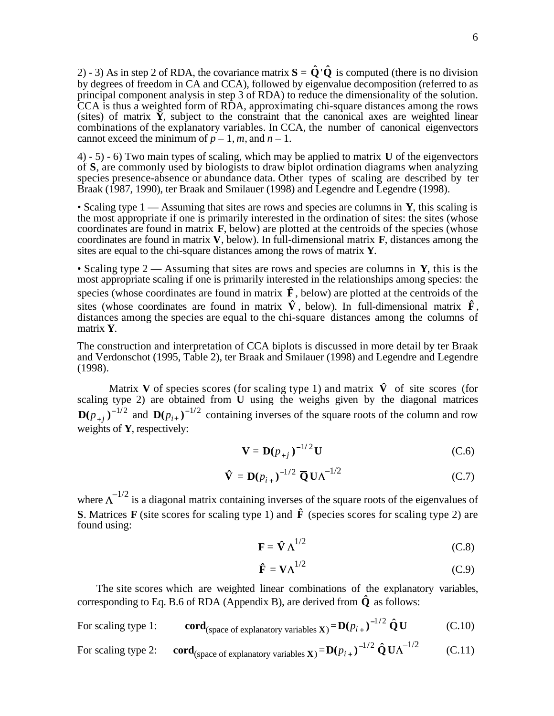2) - 3) As in step 2 of RDA, the covariance matrix  $S = \hat{Q} \hat{Q}$  is computed (there is no division by degrees of freedom in CA and CCA), followed by eigenvalue decomposition (referred to as principal component analysis in step 3 of RDA) to reduce the dimensionality of the solution. CCA is thus a weighted form of RDA, approximating chi-square distances among the rows (sites) of matrix  $\tilde{Y}$ , subject to the constraint that the canonical axes are weighted linear combinations of the explanatory variables. In CCA, the number of canonical eigenvectors cannot exceed the minimum of  $p-1$ , m, and  $n-1$ .

4) - 5) - 6) Two main types of scaling, which may be applied to matrix **U** of the eigenvectors of **S**, are commonly used by biologists to draw biplot ordination diagrams when analyzing species presence-absence or abundance data. Other types of scaling are described by ter Braak (1987, 1990), ter Braak and Smilauer (1998) and Legendre and Legendre (1998).

• Scaling type 1 — Assuming that sites are rows and species are columns in **Y**, this scaling is the most appropriate if one is primarily interested in the ordination of sites: the sites (whose coordinates are found in matrix **F**, below) are plotted at the centroids of the species (whose coordinates are found in matrix **V**, below). In full-dimensional matrix **F**, distances among the sites are equal to the chi-square distances among the rows of matrix **Y**.

• Scaling type 2 — Assuming that sites are rows and species are columns in **Y**, this is the most appropriate scaling if one is primarily interested in the relationships among species: the species (whose coordinates are found in matrix  $\hat{F}$ , below) are plotted at the centroids of the sites (whose coordinates are found in matrix  $\hat{\mathbf{V}}$ , below). In full-dimensional matrix  $\hat{\mathbf{F}}$ , distances among the species are equal to the chi-square distances among the columns of matrix **Y**.

The construction and interpretation of CCA biplots is discussed in more detail by ter Braak and Verdonschot (1995, Table 2), ter Braak and Smilauer (1998) and Legendre and Legendre (1998).

Matrix **V** of species scores (for scaling type 1) and matrix  $\hat{\mathbf{V}}$  of site scores (for scaling type 2) are obtained from **U** using the weighs given by the diagonal matrices  $\mathbf{D}(p_{+j})^{-1/2}$  and  $\mathbf{D}(p_{i+1})^{-1/2}$  containing inverses of the square roots of the column and row weights of **Y**, respectively:

$$
V = D(p_{+j})^{-1/2}U
$$
 (C.6)

$$
\mathbf{\hat{V}} = \mathbf{D}(p_{i+})^{-1/2} \overline{\mathbf{Q}} \mathbf{U} \Lambda^{-1/2}
$$
 (C.7)

where  $\Lambda^{-1/2}$  is a diagonal matrix containing inverses of the square roots of the eigenvalues of **S**. Matrices **F** (site scores for scaling type 1) and  $\hat{\mathbf{F}}$  (species scores for scaling type 2) are found using:

$$
\mathbf{F} = \mathbf{\hat{V}} \Lambda^{1/2} \tag{C.8}
$$

$$
\mathbf{\hat{F}} = \mathbf{V} \Lambda^{1/2} \tag{C.9}
$$

The site scores which are weighted linear combinations of the explanatory variables, corresponding to Eq. B.6 of RDA (Appendix B), are derived from  $\hat{O}$  as follows:

For scaling type 1: **cord**<sub>(space of explanatory variables **X**) =  $D(p_{i+1})^{-1/2}$   $\hat{Q}U$  (C.10)</sub>

For scaling type 2: **cord**<sub>(space of explanatory variables  $\mathbf{x}$ ) =  $\mathbf{D}(p_{i+1})^{-1/2}$   $\hat{\mathbf{Q}} \mathbf{U} \Lambda^{-1/2}$  (C.11)</sub>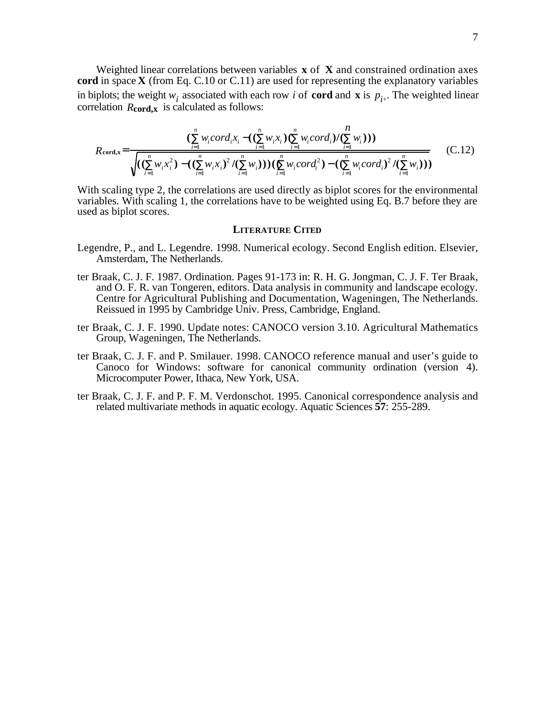Weighted linear correlations between variables **x** of **X** and constrained ordination axes **cord** in space **X** (from Eq. C.10 or C.11) are used for representing the explanatory variables in biplots; the weight  $w_i$  associated with each row *i* of **cord** and **x** is  $p_{i+}$ . The weighted linear correlation *R***cord,x** is calculated as follows:

$$
R_{\text{cord},x} = \frac{\binom{n}{i}w_i \text{cord}_i x_i - \left(\binom{n}{i}w_i x_i\right) \binom{n}{i-1}w_i \text{cord}_i \left(\binom{n}{i}w_i\right)}{\sqrt{\left(\binom{n}{i-1}w_i x_i^2\right) - \left(\binom{n}{i}w_i x_i\right)^2 \left(\binom{n}{i}w_i\right)\right) \left(\binom{n}{i-1}w_i \text{cord}_i^2 - \left(\binom{n}{i}w_i \text{cord}_i\right)^2 \left(\binom{n}{i-1}w_i\right)\right)}}
$$
(C.12)

With scaling type 2, the correlations are used directly as biplot scores for the environmental variables. With scaling 1, the correlations have to be weighted using Eq. B.7 before they are used as biplot scores.

## **LITERATURE CITED**

- Legendre, P., and L. Legendre. 1998. Numerical ecology. Second English edition. Elsevier, Amsterdam, The Netherlands.
- ter Braak, C. J. F. 1987. Ordination. Pages 91-173 in: R. H. G. Jongman, C. J. F. Ter Braak, and O. F. R. van Tongeren, editors. Data analysis in community and landscape ecology. Centre for Agricultural Publishing and Documentation, Wageningen, The Netherlands. Reissued in 1995 by Cambridge Univ. Press, Cambridge, England.
- ter Braak, C. J. F. 1990. Update notes: CANOCO version 3.10. Agricultural Mathematics Group, Wageningen, The Netherlands.
- ter Braak, C. J. F. and P. Smilauer. 1998. CANOCO reference manual and user's guide to Canoco for Windows: software for canonical community ordination (version 4). Microcomputer Power, Ithaca, New York, USA.
- ter Braak, C. J. F. and P. F. M. Verdonschot. 1995. Canonical correspondence analysis and related multivariate methods in aquatic ecology. Aquatic Sciences **57**: 255-289.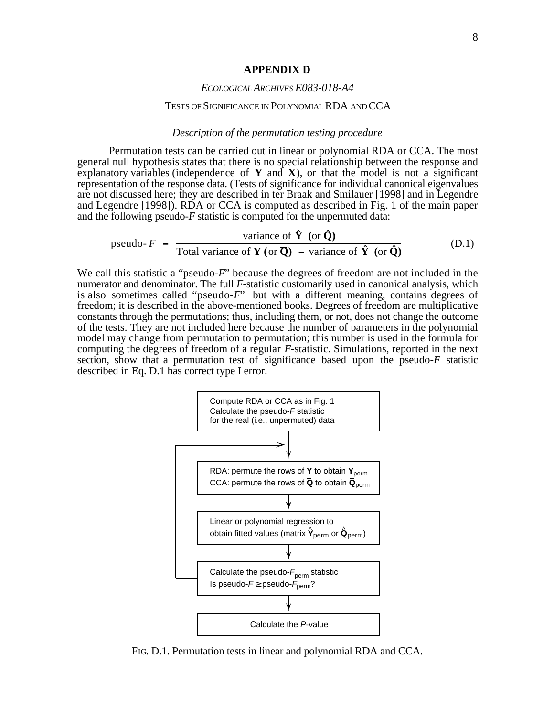## **APPENDIX D**

#### *ECOLOGICAL ARCHIVES E083-018-A4*

## TESTS OF SIGNIFICANCE IN POLYNOMIAL RDA AND CCA

#### *Description of the permutation testing procedure*

Permutation tests can be carried out in linear or polynomial RDA or CCA. The most general null hypothesis states that there is no special relationship between the response and explanatory variables (independence of  $Y$  and  $\overline{X}$ ), or that the model is not a significant representation of the response data. (Tests of significance for individual canonical eigenvalues are not discussed here; they are described in ter Braak and Smilauer [1998] and in Legendre and Legendre [1998]). RDA or CCA is computed as described in Fig. 1 of the main paper and the following pseudo-*F* statistic is computed for the unpermuted data:

pseudo- 
$$
F = \frac{\text{variance of } \hat{\mathbf{Y}} \text{ (or } \hat{\mathbf{Q}})}{\text{Total variance of } \mathbf{Y} \text{ (or } \mathbf{Q}) - \text{variance of } \hat{\mathbf{Y}} \text{ (or } \hat{\mathbf{Q}})}
$$
 (D.1)

We call this statistic a "pseudo-*F*" because the degrees of freedom are not included in the numerator and denominator. The full *F*-statistic customarily used in canonical analysis, which is also sometimes called "pseudo-*F*" but with a different meaning, contains degrees of freedom; it is described in the above-mentioned books. Degrees of freedom are multiplicative constants through the permutations; thus, including them, or not, does not change the outcome of the tests. They are not included here because the number of parameters in the polynomial model may change from permutation to permutation; this number is used in the formula for computing the degrees of freedom of a regular *F*-statistic. Simulations, reported in the next section, show that a permutation test of significance based upon the pseudo- $F$  statistic described in Eq. D.1 has correct type I error.



FIG. D.1. Permutation tests in linear and polynomial RDA and CCA.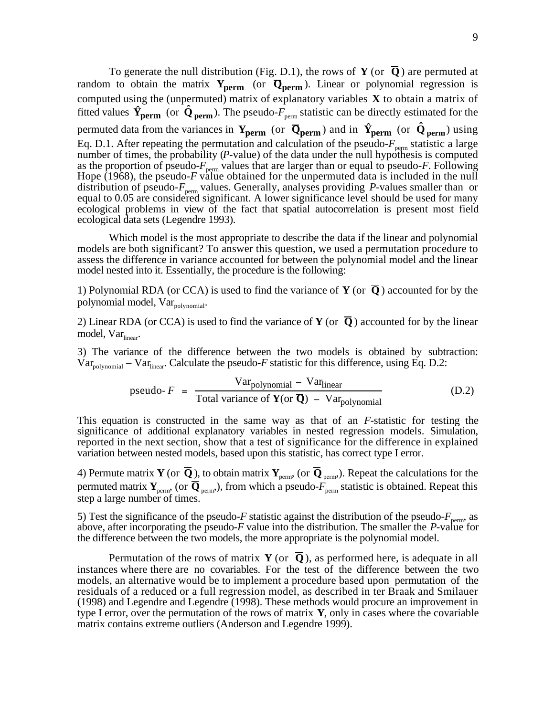To generate the null distribution (Fig. D.1), the rows of **Y** (or  $\overline{Q}$ ) are permuted at random to obtain the matrix  $Y_{\text{perm}}$  (or  $\overline{Q}_{\text{perm}}$ ). Linear or polynomial regression is computed using the (unpermuted) matrix of explanatory variables **X** to obtain a matrix of fitted values  $\hat{Y}_{perm}$  (or  $\hat{Q}_{perm}$ ). The pseudo- $F_{perm}$  statistic can be directly estimated for the permuted data from the variances in  $Y_{perm}$  (or  $\overline{Q}_{perm}$ ) and in  $\hat{Y}_{perm}$  (or  $\hat{Q}_{perm}$ ) using Eq. D.1. After repeating the permutation and calculation of the pseudo- $F_{\text{perm}}$  statistic a large number of times, the probability (*P*-value) of the data under the null hypothesis is computed as the proportion of pseudo- $F_{\text{perm}}$  values that are larger than or equal to pseudo-*F*. Following Hope  $(1968)$ , the pseudo-*F* value obtained for the unpermuted data is included in the null distribution of pseudo- $F_{\text{perm}}$  values. Generally, analyses providing *P*-values smaller than or equal to 0.05 are considered significant. A lower significance level should be used for many ecological problems in view of the fact that spatial autocorrelation is present most field ecological data sets (Legendre 1993).

Which model is the most appropriate to describe the data if the linear and polynomial models are both significant? To answer this question, we used a permutation procedure to assess the difference in variance accounted for between the polynomial model and the linear model nested into it. Essentially, the procedure is the following:

1) Polynomial RDA (or CCA) is used to find the variance of **Y** (or  $\overline{Q}$ ) accounted for by the polynomial model,  $Var_{polynomial}$ .

2) Linear RDA (or CCA) is used to find the variance of **Y** (or  $\overline{Q}$ ) accounted for by the linear model, Var<sub>linear</sub>.

3) The variance of the difference between the two models is obtained by subtraction:  $Var_{\text{nonlocal}} - Var_{\text{linear}}$ . Calculate the pseudo-*F* statistic for this difference, using Eq. D.2:

pseudo-
$$
F = \frac{\text{Var}_{\text{polynomial}} - \text{Var}_{\text{linear}}}{\text{Total variance of } \mathbf{Y}(\text{or } \mathbf{\overline{Q}}) - \text{Var}_{\text{polynomial}}} \tag{D.2}
$$

This equation is constructed in the same way as that of an *F*-statistic for testing the significance of additional explanatory variables in nested regression models. Simulation, reported in the next section, show that a test of significance for the difference in explained variation between nested models, based upon this statistic, has correct type I error.

4) Permute matrix **Y** (or  $\overline{Q}$ ), to obtain matrix  $Y_{\text{perm}}$ , (or  $\overline{Q}_{\text{perm}}$ ). Repeat the calculations for the permuted matrix  $Y_{\text{perm}}$ , (or  $\overline{Q}_{\text{perm}}$ ), from which a pseudo- $F_{\text{perm}}$  statistic is obtained. Repeat this step a large number of times.

5) Test the significance of the pseudo- $F$  statistic against the distribution of the pseudo- $F_{\text{perm}}$ , as above, after incorporating the pseudo-*F* value into the distribution. The smaller the *P*-value for the difference between the two models, the more appropriate is the polynomial model.

Permutation of the rows of matrix **Y** (or  $\overline{Q}$ ), as performed here, is adequate in all instances where there are no covariables. For the test of the difference between the two models, an alternative would be to implement a procedure based upon permutation of the residuals of a reduced or a full regression model, as described in ter Braak and Smilauer (1998) and Legendre and Legendre (1998). These methods would procure an improvement in type I error, over the permutation of the rows of matrix **Y**, only in cases where the covariable matrix contains extreme outliers (Anderson and Legendre 1999).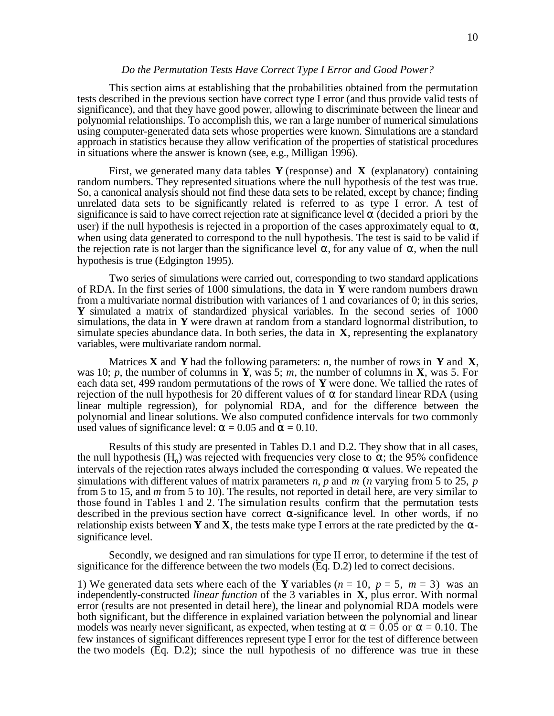## *Do the Permutation Tests Have Correct Type I Error and Good Power?*

This section aims at establishing that the probabilities obtained from the permutation tests described in the previous section have correct type I error (and thus provide valid tests of significance), and that they have good power, allowing to discriminate between the linear and polynomial relationships. To accomplish this, we ran a large number of numerical simulations using computer-generated data sets whose properties were known. Simulations are a standard approach in statistics because they allow verification of the properties of statistical procedures in situations where the answer is known (see, e.g., Milligan 1996).

First, we generated many data tables **Y** (response) and **X** (explanatory) containing random numbers. They represented situations where the null hypothesis of the test was true. So, a canonical analysis should not find these data sets to be related, except by chance; finding unrelated data sets to be significantly related is referred to as type I error. A test of significance is said to have correct rejection rate at significance level (decided a priori by the user) if the null hypothesis is rejected in a proportion of the cases approximately equal to when using data generated to correspond to the null hypothesis. The test is said to be valid if the rejection rate is not larger than the significance level , for any value of , when the null hypothesis is true (Edgington 1995).

Two series of simulations were carried out, corresponding to two standard applications of RDA. In the first series of 1000 simulations, the data in **Y** were random numbers drawn from a multivariate normal distribution with variances of 1 and covariances of 0; in this series, **Y** simulated a matrix of standardized physical variables. In the second series of 1000 simulations, the data in **Y** were drawn at random from a standard lognormal distribution, to simulate species abundance data. In both series, the data in **X**, representing the explanatory variables, were multivariate random normal.

Matrices **X** and **Y** had the following parameters: *n*, the number of rows in **Y** and **X**, was 10; *p*, the number of columns in **Y**, was 5; *m*, the number of columns in **X**, was 5. For each data set, 499 random permutations of the rows of **Y** were done. We tallied the rates of rejection of the null hypothesis for 20 different values of for standard linear RDA (using linear multiple regression), for polynomial RDA, and for the difference between the polynomial and linear solutions. We also computed confidence intervals for two commonly used values of significance level:  $= 0.05$  and  $= 0.10$ .

Results of this study are presented in Tables D.1 and D.2. They show that in all cases, the null hypothesis  $(H_0)$  was rejected with frequencies very close to ; the 95% confidence intervals of the rejection rates always included the corresponding values. We repeated the simulations with different values of matrix parameters *n*, *p* and *m* (*n* varying from 5 to 25, *p* from 5 to 15, and *m* from 5 to 10). The results, not reported in detail here, are very similar to those found in Tables 1 and 2. The simulation results confirm that the permutation tests described in the previous section have correct -significance level. In other words, if no relationship exists between **Y** and **X**, the tests make type I errors at the rate predicted by the significance level.

Secondly, we designed and ran simulations for type II error, to determine if the test of significance for the difference between the two models (Eq. D.2) led to correct decisions.

1) We generated data sets where each of the **Y** variables ( $n = 10$ ,  $p = 5$ ,  $m = 3$ ) was an independently-constructed *linear function* of the 3 variables in **X**, plus error. With normal error (results are not presented in detail here), the linear and polynomial RDA models were both significant, but the difference in explained variation between the polynomial and linear models was nearly never significant, as expected, when testing at  $= 0.05$  or  $= 0.10$ . The few instances of significant differences represent type I error for the test of difference between the two models (Eq. D.2); since the null hypothesis of no difference was true in these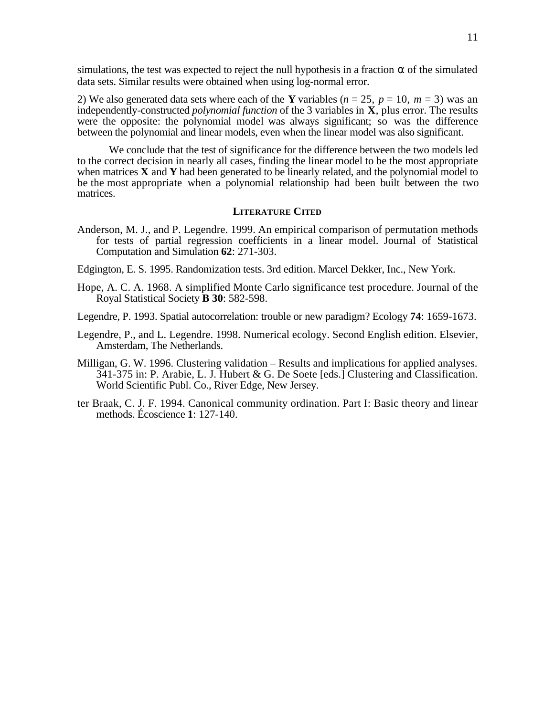simulations, the test was expected to reject the null hypothesis in a fraction of the simulated data sets. Similar results were obtained when using log-normal error.

2) We also generated data sets where each of the **Y** variables ( $n = 25$ ,  $p = 10$ ,  $m = 3$ ) was an independently-constructed *polynomial function* of the 3 variables in **X**, plus error. The results were the opposite: the polynomial model was always significant; so was the difference between the polynomial and linear models, even when the linear model was also significant.

We conclude that the test of significance for the difference between the two models led to the correct decision in nearly all cases, finding the linear model to be the most appropriate when matrices **X** and **Y** had been generated to be linearly related, and the polynomial model to be the most appropriate when a polynomial relationship had been built between the two matrices.

## **LITERATURE CITED**

Anderson, M. J., and P. Legendre. 1999. An empirical comparison of permutation methods for tests of partial regression coefficients in a linear model. Journal of Statistical Computation and Simulation **62**: 271-303.

Edgington, E. S. 1995. Randomization tests. 3rd edition. Marcel Dekker, Inc., New York.

- Hope, A. C. A. 1968. A simplified Monte Carlo significance test procedure. Journal of the Royal Statistical Society **B 30**: 582-598.
- Legendre, P. 1993. Spatial autocorrelation: trouble or new paradigm? Ecology **74**: 1659-1673.
- Legendre, P., and L. Legendre. 1998. Numerical ecology. Second English edition. Elsevier, Amsterdam, The Netherlands.
- Milligan, G. W. 1996. Clustering validation Results and implications for applied analyses.  $341-375$  in: P. Arabie, L. J. Hubert & G. De Soete [eds.] Clustering and Classification. World Scientific Publ. Co., River Edge, New Jersey.
- ter Braak, C. J. F. 1994. Canonical community ordination. Part I: Basic theory and linear methods. Écoscience **1**: 127-140.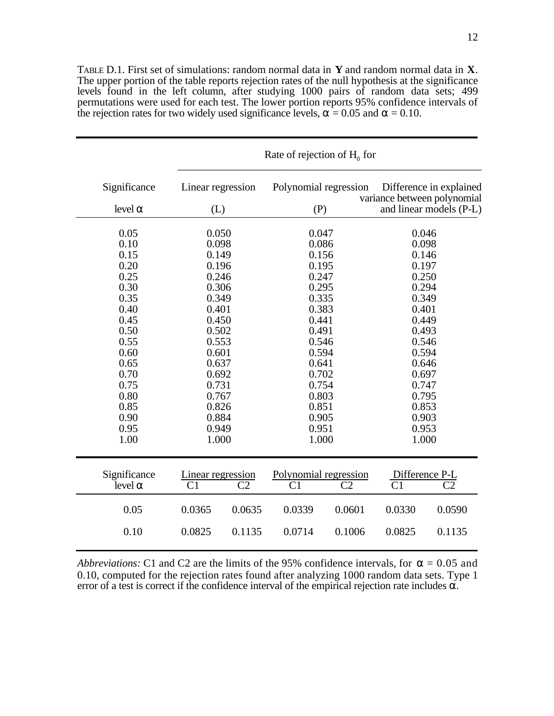TABLE D.1. First set of simulations: random normal data in **Y** and random normal data in **X**. The upper portion of the table reports rejection rates of the null hypothesis at the significance levels found in the left column, after studying 1000 pairs of random data sets; 499 permutations were used for each test. The lower portion reports 95% confidence intervals of the rejection rates for two widely used significance levels,  $= 0.05$  and  $= 0.10$ .

|                       | Rate of rejection of $H_0$ for      |                |                                         |                |                                  |                                                        |
|-----------------------|-------------------------------------|----------------|-----------------------------------------|----------------|----------------------------------|--------------------------------------------------------|
| Significance          | Linear regression                   |                | Polynomial regression                   |                |                                  | Difference in explained<br>variance between polynomial |
| level                 | (L)                                 |                | (P)                                     |                |                                  | and linear models (P-L)                                |
| 0.05                  | 0.050                               |                | 0.047                                   |                | 0.046                            |                                                        |
| 0.10                  | 0.098                               |                | 0.086                                   |                | 0.098                            |                                                        |
| 0.15                  | 0.149                               |                | 0.156                                   |                | 0.146                            |                                                        |
| 0.20                  | 0.196                               |                | 0.195                                   |                | 0.197                            |                                                        |
| 0.25                  | 0.246                               |                | 0.247                                   |                | 0.250                            |                                                        |
| 0.30                  | 0.306                               |                | 0.295                                   |                | 0.294                            |                                                        |
| 0.35                  | 0.349                               |                | 0.335                                   |                | 0.349                            |                                                        |
| 0.40                  | 0.401                               |                | 0.383                                   |                | 0.401                            |                                                        |
| 0.45                  | 0.450                               |                | 0.441                                   |                | 0.449                            |                                                        |
| 0.50                  | 0.502                               |                | 0.491                                   |                | 0.493                            |                                                        |
| 0.55                  | 0.553                               |                | 0.546                                   |                | 0.546                            |                                                        |
| 0.60                  | 0.601                               |                | 0.594                                   |                | 0.594                            |                                                        |
| 0.65                  | 0.637                               |                | 0.641                                   |                | 0.646                            |                                                        |
| 0.70                  | 0.692                               |                | 0.702                                   |                | 0.697                            |                                                        |
| 0.75                  | 0.731                               |                | 0.754                                   |                | 0.747                            |                                                        |
| 0.80                  | 0.767                               |                | 0.803                                   |                | 0.795                            |                                                        |
| 0.85                  | 0.826                               |                | 0.851                                   |                | 0.853                            |                                                        |
| 0.90                  | 0.884                               |                | 0.905                                   |                | 0.903                            |                                                        |
| 0.95                  | 0.949                               |                | 0.951                                   |                | 0.953                            |                                                        |
| 1.00                  | 1.000                               |                | 1.000                                   |                | 1.000                            |                                                        |
|                       |                                     |                |                                         |                |                                  |                                                        |
| Significance<br>level | Linear regression<br>C <sub>1</sub> | C <sub>2</sub> | Polynomial regression<br>C <sub>1</sub> | C <sub>2</sub> | Difference P-L<br>C <sub>1</sub> | C <sub>2</sub>                                         |
| 0.05                  | 0.0365                              | 0.0635         | 0.0339                                  | 0.0601         | 0.0330                           | 0.0590                                                 |
| 0.10                  | 0.0825                              | 0.1135         | 0.0714                                  | 0.1006         | 0.0825                           | 0.1135                                                 |

*Abbreviations:* C1 and C2 are the limits of the 95% confidence intervals, for  $= 0.05$  and 0.10, computed for the rejection rates found after analyzing 1000 random data sets. Type 1 error of a test is correct if the confidence interval of the empirical rejection rate includes .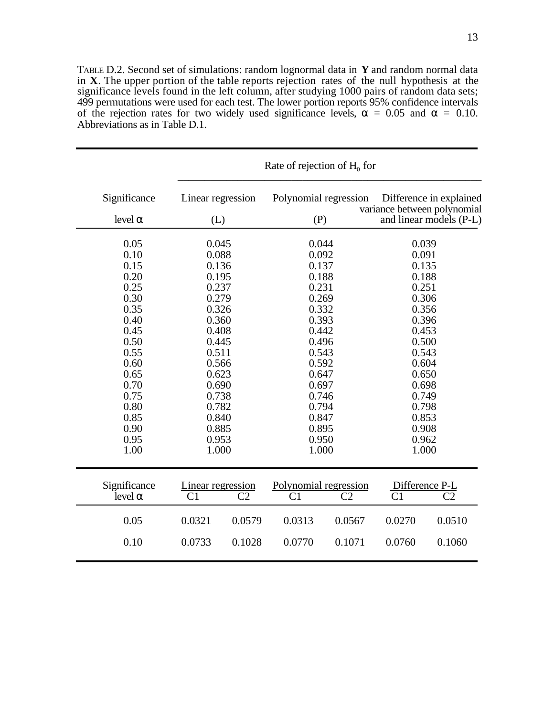TABLE D.2. Second set of simulations: random lognormal data in **Y** and random normal data in **X**. The upper portion of the table reports rejection rates of the null hypothesis at the significance levels found in the left column, after studying 1000 pairs of random data sets; 499 permutations were used for each test. The lower portion reports 95% confidence intervals of the rejection rates for two widely used significance levels,  $= 0.05$  and  $= 0.10$ . of the rejection rates for two widely used significance levels, Abbreviations as in Table D.1.

|                       | Rate of rejection of $H_0$ for      |                |                                         |                |                                  |                                                        |
|-----------------------|-------------------------------------|----------------|-----------------------------------------|----------------|----------------------------------|--------------------------------------------------------|
| Significance          | Linear regression                   |                | Polynomial regression                   |                |                                  | Difference in explained<br>variance between polynomial |
| level                 | (L)                                 |                | (P)                                     |                |                                  | and linear models (P-L)                                |
| 0.05                  | 0.045                               |                | 0.044                                   |                | 0.039                            |                                                        |
| 0.10                  | 0.088                               |                | 0.092                                   |                | 0.091                            |                                                        |
| 0.15                  | 0.136                               |                | 0.137                                   |                | 0.135                            |                                                        |
| 0.20                  | 0.195                               |                | 0.188                                   |                | 0.188                            |                                                        |
| 0.25                  | 0.237                               |                | 0.231                                   |                | 0.251                            |                                                        |
| 0.30                  | 0.279                               |                | 0.269                                   |                | 0.306                            |                                                        |
| 0.35                  | 0.326                               |                | 0.332                                   |                | 0.356                            |                                                        |
| 0.40                  | 0.360                               |                | 0.393                                   |                | 0.396                            |                                                        |
| 0.45                  | 0.408                               |                | 0.442                                   |                | 0.453                            |                                                        |
| 0.50                  | 0.445                               |                | 0.496                                   |                | 0.500                            |                                                        |
| 0.55                  | 0.511                               |                | 0.543                                   |                | 0.543                            |                                                        |
| 0.60                  | 0.566                               |                | 0.592                                   |                | 0.604                            |                                                        |
| 0.65                  | 0.623                               |                | 0.647                                   |                | 0.650                            |                                                        |
| 0.70                  | 0.690                               |                | 0.697                                   |                | 0.698                            |                                                        |
| 0.75                  | 0.738                               |                | 0.746                                   |                | 0.749                            |                                                        |
| 0.80                  | 0.782                               |                | 0.794                                   |                | 0.798                            |                                                        |
| 0.85                  | 0.840                               |                | 0.847                                   |                | 0.853                            |                                                        |
| 0.90                  | 0.885                               |                | 0.895                                   |                | 0.908                            |                                                        |
| 0.95                  | 0.953                               |                | 0.950                                   |                | 0.962                            |                                                        |
| 1.00                  | 1.000                               |                | 1.000                                   |                | 1.000                            |                                                        |
| Significance<br>level | Linear regression<br>C <sub>1</sub> | C <sub>2</sub> | Polynomial regression<br>C <sub>1</sub> | C <sub>2</sub> | Difference P-L<br>C <sub>1</sub> | C <sub>2</sub>                                         |
| 0.05                  | 0.0321                              | 0.0579         | 0.0313                                  | 0.0567         | 0.0270                           | 0.0510                                                 |
| 0.10                  | 0.0733                              | 0.1028         | 0.0770                                  | 0.1071         | 0.0760                           | 0.1060                                                 |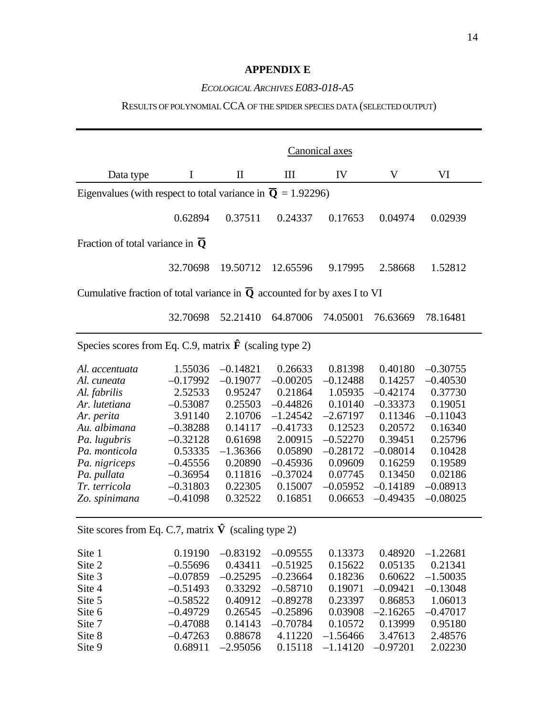## **APPENDIX E**

## *ECOLOGICAL ARCHIVES E083-018-A5*

## RESULTS OF POLYNOMIAL CCA OF THE SPIDER SPECIES DATA (SELECTED OUTPUT)

|                                                                                       | Canonical axes                                                            |              |            |            |            |            |  |  |  |  |
|---------------------------------------------------------------------------------------|---------------------------------------------------------------------------|--------------|------------|------------|------------|------------|--|--|--|--|
| Data type                                                                             | $\mathbf I$                                                               | $\mathbf{I}$ | III        | IV         | V          | VI         |  |  |  |  |
|                                                                                       | Eigenvalues (with respect to total variance in $\overline{Q} = 1.92296$ ) |              |            |            |            |            |  |  |  |  |
|                                                                                       | 0.62894                                                                   | 0.37511      | 0.24337    | 0.17653    | 0.04974    | 0.02939    |  |  |  |  |
| Fraction of total variance in $\overline{Q}$                                          |                                                                           |              |            |            |            |            |  |  |  |  |
|                                                                                       | 32.70698                                                                  | 19.50712     | 12.65596   | 9.17995    | 2.58668    | 1.52812    |  |  |  |  |
| Cumulative fraction of total variance in $\overline{Q}$ accounted for by axes I to VI |                                                                           |              |            |            |            |            |  |  |  |  |
|                                                                                       | 32.70698                                                                  | 52.21410     | 64.87006   | 74.05001   | 76.63669   | 78.16481   |  |  |  |  |
| Species scores from Eq. C.9, matrix $\hat{F}$ (scaling type 2)                        |                                                                           |              |            |            |            |            |  |  |  |  |
| Al. accentuata                                                                        | 1.55036                                                                   | $-0.14821$   | 0.26633    | 0.81398    | 0.40180    | $-0.30755$ |  |  |  |  |
| Al. cuneata                                                                           | $-0.17992$                                                                | $-0.19077$   | $-0.00205$ | $-0.12488$ | 0.14257    | $-0.40530$ |  |  |  |  |
| Al. fabrilis                                                                          | 2.52533                                                                   | 0.95247      | 0.21864    | 1.05935    | $-0.42174$ | 0.37730    |  |  |  |  |
| Ar. lutetiana                                                                         | $-0.53087$                                                                | 0.25503      | $-0.44826$ | 0.10140    | $-0.33373$ | 0.19051    |  |  |  |  |
| Ar. perita                                                                            | 3.91140                                                                   | 2.10706      | $-1.24542$ | $-2.67197$ | 0.11346    | $-0.11043$ |  |  |  |  |
| Au. albimana                                                                          | $-0.38288$                                                                | 0.14117      | $-0.41733$ | 0.12523    | 0.20572    | 0.16340    |  |  |  |  |
| Pa. lugubris                                                                          | $-0.32128$                                                                | 0.61698      | 2.00915    | $-0.52270$ | 0.39451    | 0.25796    |  |  |  |  |
| Pa. monticola                                                                         | 0.53335                                                                   | $-1.36366$   | 0.05890    | $-0.28172$ | $-0.08014$ | 0.10428    |  |  |  |  |
| Pa. nigriceps                                                                         | $-0.45556$                                                                | 0.20890      | $-0.45936$ | 0.09609    | 0.16259    | 0.19589    |  |  |  |  |
| Pa. pullata                                                                           | $-0.36954$                                                                | 0.11816      | $-0.37024$ | 0.07745    | 0.13450    | 0.02186    |  |  |  |  |
| Tr. terricola                                                                         | $-0.31803$                                                                | 0.22305      | 0.15007    | $-0.05952$ | $-0.14189$ | $-0.08913$ |  |  |  |  |
| Zo. spinimana                                                                         | $-0.41098$                                                                | 0.32522      | 0.16851    | 0.06653    | $-0.49435$ | $-0.08025$ |  |  |  |  |
| Site scores from Eq. C.7, matrix $\hat{V}$ (scaling type 2)                           |                                                                           |              |            |            |            |            |  |  |  |  |
| Site 1                                                                                | 0.19190                                                                   | $-0.83192$   | $-0.09555$ | 0.13373    | 0.48920    | $-1.22681$ |  |  |  |  |
| Site 2                                                                                | $-0.55696$                                                                | 0.43411      | $-0.51925$ | 0.15622    | 0.05135    | 0.21341    |  |  |  |  |

| Site 2 |            | $-0.55696$ $0.43411$ $-0.51925$ $0.15622$ $0.05135$ $0.21341$ |                                          |         |                    |                       |
|--------|------------|---------------------------------------------------------------|------------------------------------------|---------|--------------------|-----------------------|
| Site 3 |            | $-0.07859$ $-0.25295$ $-0.23664$ 0.18236                      |                                          |         |                    | $0.60622 -1.50035$    |
| Site 4 | $-0.51493$ | $0.33292 -0.58710$                                            |                                          | 0.19071 |                    | $-0.09421$ $-0.13048$ |
| Site 5 | $-0.58522$ | $0.40912 -0.89278$                                            |                                          |         | 0.23397 0.86853    | 1.06013               |
| Site 6 | $-0.49729$ |                                                               | $0.26545 -0.25896$                       |         | $0.03908 -2.16265$ | $-0.47017$            |
| Site 7 | $-0.47088$ |                                                               | $0.14143$ $-0.70784$ $0.10572$ $0.13999$ |         |                    | 0.95180               |
| Site 8 | $-0.47263$ |                                                               | 0.88678 4.11220                          |         | $-1.56466$ 3.47613 | 2.48576               |
| Site 9 | 0.68911    |                                                               | $-2.95056$ 0.15118 $-1.14120$ $-0.97201$ |         |                    | 2.02230               |
|        |            |                                                               |                                          |         |                    |                       |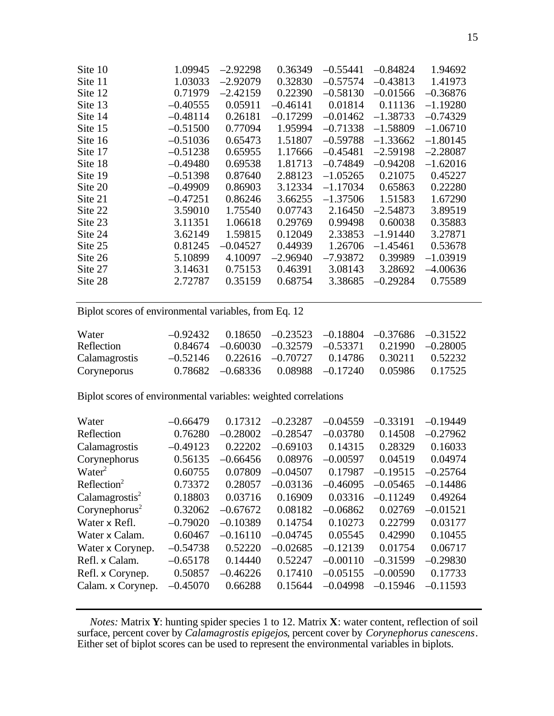| Site 10 | 1.09945    | $-2.92298$ | 0.36349    | $-0.55441$ | $-0.84824$ | 1.94692    |
|---------|------------|------------|------------|------------|------------|------------|
| Site 11 | 1.03033    | $-2.92079$ | 0.32830    | $-0.57574$ | $-0.43813$ | 1.41973    |
| Site 12 | 0.71979    | $-2.42159$ | 0.22390    | $-0.58130$ | $-0.01566$ | $-0.36876$ |
| Site 13 | $-0.40555$ | 0.05911    | $-0.46141$ | 0.01814    | 0.11136    | $-1.19280$ |
| Site 14 | $-0.48114$ | 0.26181    | $-0.17299$ | $-0.01462$ | $-1.38733$ | $-0.74329$ |
| Site 15 | $-0.51500$ | 0.77094    | 1.95994    | $-0.71338$ | $-1.58809$ | $-1.06710$ |
| Site 16 | $-0.51036$ | 0.65473    | 1.51807    | $-0.59788$ | $-1.33662$ | $-1.80145$ |
| Site 17 | $-0.51238$ | 0.65955    | 1.17666    | $-0.45481$ | $-2.59198$ | $-2.28087$ |
| Site 18 | $-0.49480$ | 0.69538    | 1.81713    | $-0.74849$ | $-0.94208$ | $-1.62016$ |
| Site 19 | $-0.51398$ | 0.87640    | 2.88123    | $-1.05265$ | 0.21075    | 0.45227    |
| Site 20 | $-0.49909$ | 0.86903    | 3.12334    | $-1.17034$ | 0.65863    | 0.22280    |
| Site 21 | $-0.47251$ | 0.86246    | 3.66255    | $-1.37506$ | 1.51583    | 1.67290    |
| Site 22 | 3.59010    | 1.75540    | 0.07743    | 2.16450    | $-2.54873$ | 3.89519    |
| Site 23 | 3.11351    | 1.06618    | 0.29769    | 0.99498    | 0.60038    | 0.35883    |
| Site 24 | 3.62149    | 1.59815    | 0.12049    | 2.33853    | $-1.91440$ | 3.27871    |
| Site 25 | 0.81245    | $-0.04527$ | 0.44939    | 1.26706    | $-1.45461$ | 0.53678    |
| Site 26 | 5.10899    | 4.10097    | $-2.96940$ | $-7.93872$ | 0.39989    | $-1.03919$ |
| Site 27 | 3.14631    | 0.75153    | 0.46391    | 3.08143    | 3.28692    | $-4.00636$ |
| Site 28 | 2.72787    | 0.35159    | 0.68754    | 3.38685    | $-0.29284$ | 0.75589    |
|         |            |            |            |            |            |            |

Biplot scores of environmental variables, from Eq. 12

| Water                |  | $-0.92432$ $0.18650$ $-0.23523$ $-0.18804$ $-0.37686$ $-0.31522$ |  |
|----------------------|--|------------------------------------------------------------------|--|
| <b>Reflection</b>    |  | $0.84674$ $-0.60030$ $-0.32579$ $-0.53371$ $0.21990$ $-0.28005$  |  |
| <b>Calamagrostis</b> |  | $-0.52146$ $0.22616$ $-0.70727$ $0.14786$ $0.30211$ $0.52232$    |  |
| Coryneporus          |  | $0.78682 -0.68336 -0.08988 -0.17240 -0.05986 -0.17525$           |  |

Biplot scores of environmental variables: weighted correlations

| Water                      | $-0.66479$ | 0.17312    | $-0.23287$ | $-0.04559$ | $-0.33191$ | $-0.19449$ |
|----------------------------|------------|------------|------------|------------|------------|------------|
| Reflection                 | 0.76280    | $-0.28002$ | $-0.28547$ | $-0.03780$ | 0.14508    | $-0.27962$ |
| Calamagrostis              | $-0.49123$ | 0.22202    | $-0.69103$ | 0.14315    | 0.28329    | 0.16033    |
| Corynephorus               | 0.56135    | $-0.66456$ | 0.08976    | $-0.00597$ | 0.04519    | 0.04974    |
| Water <sup>2</sup>         | 0.60755    | 0.07809    | $-0.04507$ | 0.17987    | $-0.19515$ | $-0.25764$ |
| Reflection <sup>2</sup>    | 0.73372    | 0.28057    | $-0.03136$ | $-0.46095$ | $-0.05465$ | $-0.14486$ |
| Calamagrostis <sup>2</sup> | 0.18803    | 0.03716    | 0.16909    | 0.03316    | $-0.11249$ | 0.49264    |
| Corynephorus <sup>2</sup>  | 0.32062    | $-0.67672$ | 0.08182    | $-0.06862$ | 0.02769    | $-0.01521$ |
| Water x Refl.              | $-0.79020$ | $-0.10389$ | 0.14754    | 0.10273    | 0.22799    | 0.03177    |
| Water x Calam.             | 0.60467    | $-0.16110$ | $-0.04745$ | 0.05545    | 0.42990    | 0.10455    |
| Water x Corynep.           | $-0.54738$ | 0.52220    | $-0.02685$ | $-0.12139$ | 0.01754    | 0.06717    |
| Refl. x Calam.             | $-0.65178$ | 0.14440    | 0.52247    | $-0.00110$ | $-0.31599$ | $-0.29830$ |
| Refl. x Corynep.           | 0.50857    | $-0.46226$ | 0.17410    | $-0.05155$ | $-0.00590$ | 0.17733    |
| Calam. x Corynep.          | $-0.45070$ | 0.66288    | 0.15644    | $-0.04998$ | $-0.15946$ | $-0.11593$ |
|                            |            |            |            |            |            |            |

*Notes:* Matrix **Y**: hunting spider species 1 to 12. Matrix **X**: water content, reflection of soil surface, percent cover by *Calamagrostis epigejos*, percent cover by *Corynephorus canescens*. Either set of biplot scores can be used to represent the environmental variables in biplots.